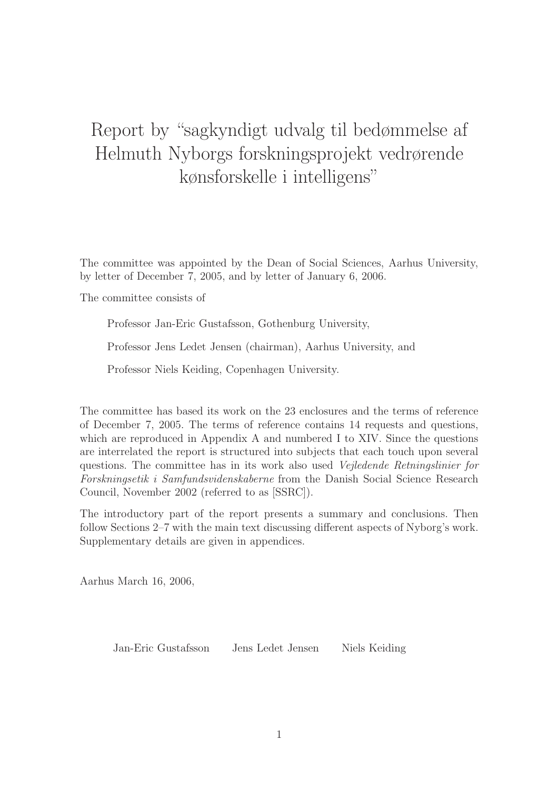# Report by "sagkyndigt udvalg til bedømmelse af Helmuth Nyborgs forskningsprojekt vedrørende kønsforskelle i intelligens"

The committee was appointed by the Dean of Social Sciences, Aarhus University, by letter of December 7, 2005, and by letter of January 6, 2006.

The committee consists of

Professor Jan-Eric Gustafsson, Gothenburg University,

Professor Jens Ledet Jensen (chairman), Aarhus University, and

Professor Niels Keiding, Copenhagen University.

The committee has based its work on the 23 enclosures and the terms of reference of December 7, 2005. The terms of reference contains 14 requests and questions, which are reproduced in Appendix A and numbered I to XIV. Since the questions are interrelated the report is structured into subjects that each touch upon several questions. The committee has in its work also used Vejledende Retningslinier for Forskningsetik i Samfundsvidenskaberne from the Danish Social Science Research Council, November 2002 (referred to as [SSRC]).

The introductory part of the report presents a summary and conclusions. Then follow Sections 2–7 with the main text discussing different aspects of Nyborg's work. Supplementary details are given in appendices.

Aarhus March 16, 2006,

Jan-Eric Gustafsson Jens Ledet Jensen Niels Keiding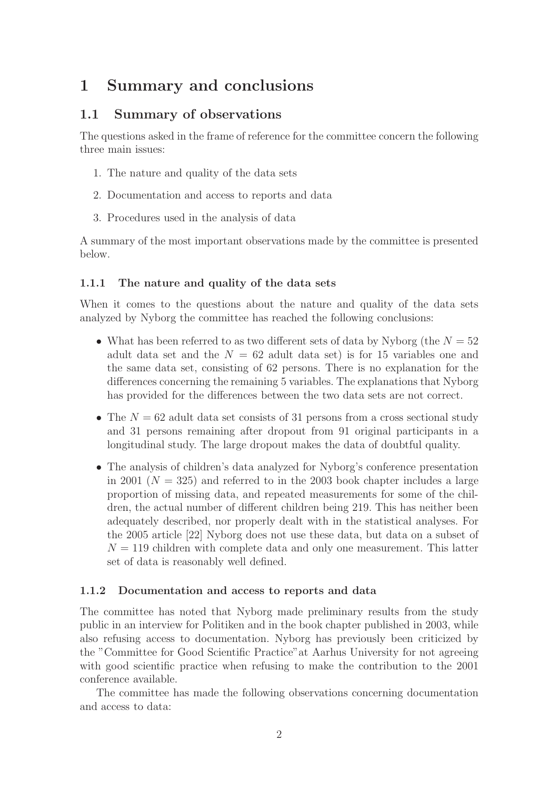# 1 Summary and conclusions

### 1.1 Summary of observations

The questions asked in the frame of reference for the committee concern the following three main issues:

- 1. The nature and quality of the data sets
- 2. Documentation and access to reports and data
- 3. Procedures used in the analysis of data

A summary of the most important observations made by the committee is presented below.

#### 1.1.1 The nature and quality of the data sets

When it comes to the questions about the nature and quality of the data sets analyzed by Nyborg the committee has reached the following conclusions:

- What has been referred to as two different sets of data by Nyborg (the  $N = 52$ ) adult data set and the  $N = 62$  adult data set) is for 15 variables one and the same data set, consisting of 62 persons. There is no explanation for the differences concerning the remaining 5 variables. The explanations that Nyborg has provided for the differences between the two data sets are not correct.
- The  $N = 62$  adult data set consists of 31 persons from a cross sectional study and 31 persons remaining after dropout from 91 original participants in a longitudinal study. The large dropout makes the data of doubtful quality.
- The analysis of children's data analyzed for Nyborg's conference presentation in 2001 ( $N = 325$ ) and referred to in the 2003 book chapter includes a large proportion of missing data, and repeated measurements for some of the children, the actual number of different children being 219. This has neither been adequately described, nor properly dealt with in the statistical analyses. For the 2005 article [22] Nyborg does not use these data, but data on a subset of  $N = 119$  children with complete data and only one measurement. This latter set of data is reasonably well defined.

#### 1.1.2 Documentation and access to reports and data

The committee has noted that Nyborg made preliminary results from the study public in an interview for Politiken and in the book chapter published in 2003, while also refusing access to documentation. Nyborg has previously been criticized by the "Committee for Good Scientific Practice"at Aarhus University for not agreeing with good scientific practice when refusing to make the contribution to the 2001 conference available.

The committee has made the following observations concerning documentation and access to data: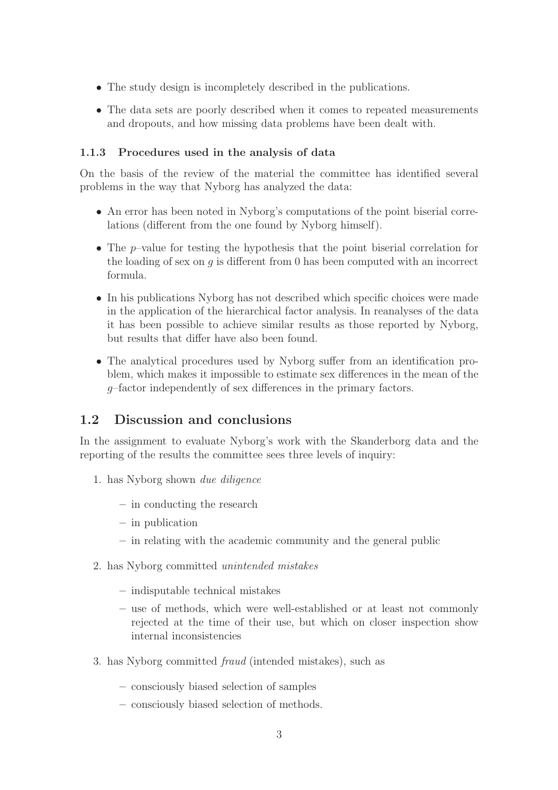- The study design is incompletely described in the publications.
- The data sets are poorly described when it comes to repeated measurements and dropouts, and how missing data problems have been dealt with.

#### 1.1.3 Procedures used in the analysis of data

On the basis of the review of the material the committee has identified several problems in the way that Nyborg has analyzed the data:

- An error has been noted in Nyborg's computations of the point biserial correlations (different from the one found by Nyborg himself).
- The p–value for testing the hypothesis that the point biserial correlation for the loading of sex on  $q$  is different from 0 has been computed with an incorrect formula.
- In his publications Nyborg has not described which specific choices were made in the application of the hierarchical factor analysis. In reanalyses of the data it has been possible to achieve similar results as those reported by Nyborg, but results that differ have also been found.
- The analytical procedures used by Nyborg suffer from an identification problem, which makes it impossible to estimate sex differences in the mean of the g–factor independently of sex differences in the primary factors.

### 1.2 Discussion and conclusions

In the assignment to evaluate Nyborg's work with the Skanderborg data and the reporting of the results the committee sees three levels of inquiry:

- 1. has Nyborg shown due diligence
	- in conducting the research
	- in publication
	- in relating with the academic community and the general public
- 2. has Nyborg committed unintended mistakes
	- indisputable technical mistakes
	- use of methods, which were well-established or at least not commonly rejected at the time of their use, but which on closer inspection show internal inconsistencies
- 3. has Nyborg committed fraud (intended mistakes), such as
	- consciously biased selection of samples
	- consciously biased selection of methods.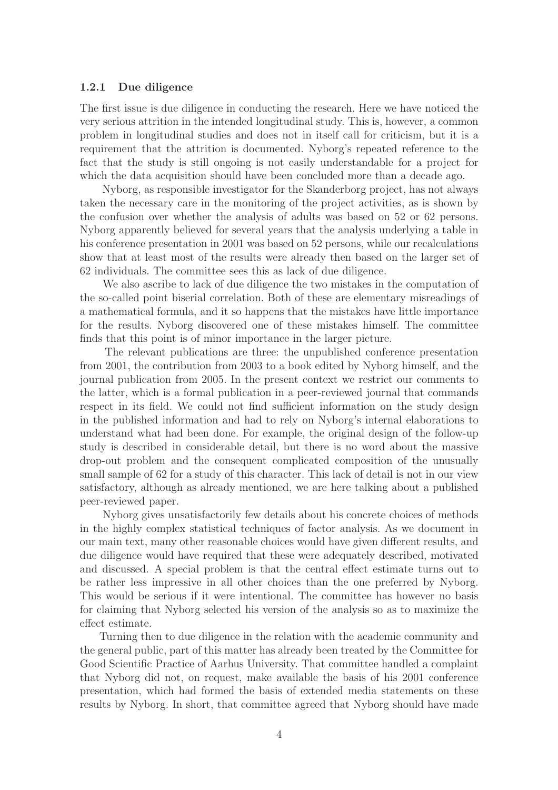#### 1.2.1 Due diligence

The first issue is due diligence in conducting the research. Here we have noticed the very serious attrition in the intended longitudinal study. This is, however, a common problem in longitudinal studies and does not in itself call for criticism, but it is a requirement that the attrition is documented. Nyborg's repeated reference to the fact that the study is still ongoing is not easily understandable for a project for which the data acquisition should have been concluded more than a decade ago.

Nyborg, as responsible investigator for the Skanderborg project, has not always taken the necessary care in the monitoring of the project activities, as is shown by the confusion over whether the analysis of adults was based on 52 or 62 persons. Nyborg apparently believed for several years that the analysis underlying a table in his conference presentation in 2001 was based on 52 persons, while our recalculations show that at least most of the results were already then based on the larger set of 62 individuals. The committee sees this as lack of due diligence.

We also ascribe to lack of due diligence the two mistakes in the computation of the so-called point biserial correlation. Both of these are elementary misreadings of a mathematical formula, and it so happens that the mistakes have little importance for the results. Nyborg discovered one of these mistakes himself. The committee finds that this point is of minor importance in the larger picture.

The relevant publications are three: the unpublished conference presentation from 2001, the contribution from 2003 to a book edited by Nyborg himself, and the journal publication from 2005. In the present context we restrict our comments to the latter, which is a formal publication in a peer-reviewed journal that commands respect in its field. We could not find sufficient information on the study design in the published information and had to rely on Nyborg's internal elaborations to understand what had been done. For example, the original design of the follow-up study is described in considerable detail, but there is no word about the massive drop-out problem and the consequent complicated composition of the unusually small sample of 62 for a study of this character. This lack of detail is not in our view satisfactory, although as already mentioned, we are here talking about a published peer-reviewed paper.

Nyborg gives unsatisfactorily few details about his concrete choices of methods in the highly complex statistical techniques of factor analysis. As we document in our main text, many other reasonable choices would have given different results, and due diligence would have required that these were adequately described, motivated and discussed. A special problem is that the central effect estimate turns out to be rather less impressive in all other choices than the one preferred by Nyborg. This would be serious if it were intentional. The committee has however no basis for claiming that Nyborg selected his version of the analysis so as to maximize the effect estimate.

Turning then to due diligence in the relation with the academic community and the general public, part of this matter has already been treated by the Committee for Good Scientific Practice of Aarhus University. That committee handled a complaint that Nyborg did not, on request, make available the basis of his 2001 conference presentation, which had formed the basis of extended media statements on these results by Nyborg. In short, that committee agreed that Nyborg should have made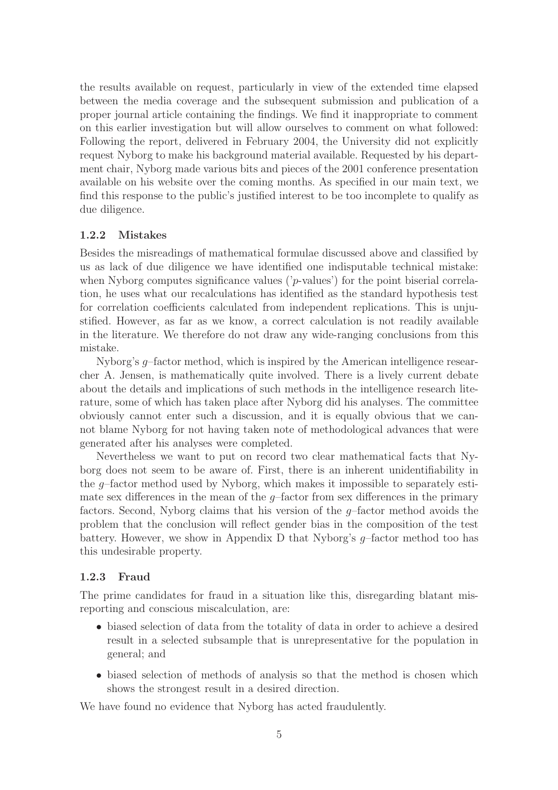the results available on request, particularly in view of the extended time elapsed between the media coverage and the subsequent submission and publication of a proper journal article containing the findings. We find it inappropriate to comment on this earlier investigation but will allow ourselves to comment on what followed: Following the report, delivered in February 2004, the University did not explicitly request Nyborg to make his background material available. Requested by his department chair, Nyborg made various bits and pieces of the 2001 conference presentation available on his website over the coming months. As specified in our main text, we find this response to the public's justified interest to be too incomplete to qualify as due diligence.

#### 1.2.2 Mistakes

Besides the misreadings of mathematical formulae discussed above and classified by us as lack of due diligence we have identified one indisputable technical mistake: when Nyborg computes significance values ('p-values') for the point biserial correlation, he uses what our recalculations has identified as the standard hypothesis test for correlation coefficients calculated from independent replications. This is unjustified. However, as far as we know, a correct calculation is not readily available in the literature. We therefore do not draw any wide-ranging conclusions from this mistake.

Nyborg's g–factor method, which is inspired by the American intelligence researcher A. Jensen, is mathematically quite involved. There is a lively current debate about the details and implications of such methods in the intelligence research literature, some of which has taken place after Nyborg did his analyses. The committee obviously cannot enter such a discussion, and it is equally obvious that we cannot blame Nyborg for not having taken note of methodological advances that were generated after his analyses were completed.

Nevertheless we want to put on record two clear mathematical facts that Nyborg does not seem to be aware of. First, there is an inherent unidentifiability in the g–factor method used by Nyborg, which makes it impossible to separately estimate sex differences in the mean of the  $q$ -factor from sex differences in the primary factors. Second, Nyborg claims that his version of the g–factor method avoids the problem that the conclusion will reflect gender bias in the composition of the test battery. However, we show in Appendix D that Nyborg's  $g$ -factor method too has this undesirable property.

#### 1.2.3 Fraud

The prime candidates for fraud in a situation like this, disregarding blatant misreporting and conscious miscalculation, are:

- biased selection of data from the totality of data in order to achieve a desired result in a selected subsample that is unrepresentative for the population in general; and
- biased selection of methods of analysis so that the method is chosen which shows the strongest result in a desired direction.

We have found no evidence that Nyborg has acted fraudulently.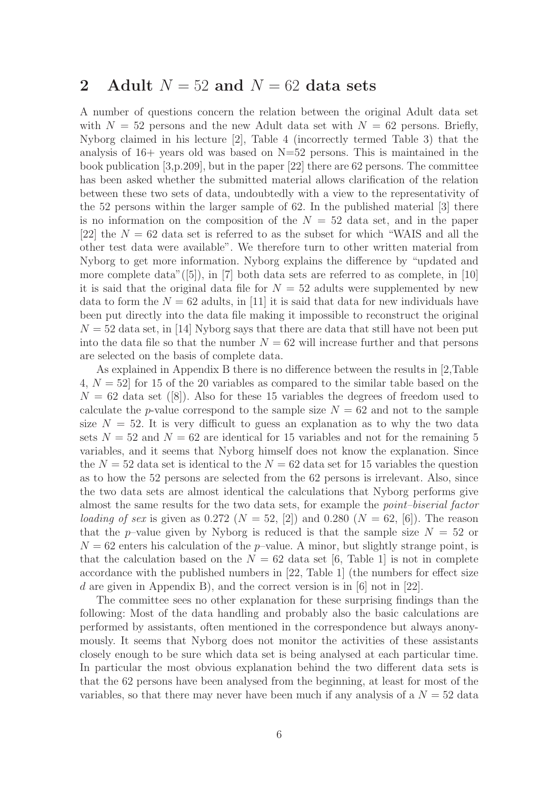### 2 Adult  $N = 52$  and  $N = 62$  data sets

A number of questions concern the relation between the original Adult data set with  $N = 52$  persons and the new Adult data set with  $N = 62$  persons. Briefly, Nyborg claimed in his lecture [2], Table 4 (incorrectly termed Table 3) that the analysis of  $16+$  years old was based on  $N=52$  persons. This is maintained in the book publication [3,p.209], but in the paper [22] there are 62 persons. The committee has been asked whether the submitted material allows clarification of the relation between these two sets of data, undoubtedly with a view to the representativity of the 52 persons within the larger sample of 62. In the published material [3] there is no information on the composition of the  $N = 52$  data set, and in the paper [22] the  $N = 62$  data set is referred to as the subset for which "WAIS and all the other test data were available". We therefore turn to other written material from Nyborg to get more information. Nyborg explains the difference by "updated and more complete data"([5]), in [7] both data sets are referred to as complete, in [10] it is said that the original data file for  $N = 52$  adults were supplemented by new data to form the  $N = 62$  adults, in [11] it is said that data for new individuals have been put directly into the data file making it impossible to reconstruct the original  $N = 52$  data set, in [14] Nyborg says that there are data that still have not been put into the data file so that the number  $N = 62$  will increase further and that persons are selected on the basis of complete data.

As explained in Appendix B there is no difference between the results in [2,Table  $4, N = 52$  for 15 of the 20 variables as compared to the similar table based on the  $N = 62$  data set ([8]). Also for these 15 variables the degrees of freedom used to calculate the p-value correspond to the sample size  $N = 62$  and not to the sample size  $N = 52$ . It is very difficult to guess an explanation as to why the two data sets  $N = 52$  and  $N = 62$  are identical for 15 variables and not for the remaining 5 variables, and it seems that Nyborg himself does not know the explanation. Since the  $N = 52$  data set is identical to the  $N = 62$  data set for 15 variables the question as to how the 52 persons are selected from the 62 persons is irrelevant. Also, since the two data sets are almost identical the calculations that Nyborg performs give almost the same results for the two data sets, for example the point–biserial factor loading of sex is given as 0.272 ( $N = 52$ , [2]) and 0.280 ( $N = 62$ , [6]). The reason that the p–value given by Nyborg is reduced is that the sample size  $N = 52$  or  $N = 62$  enters his calculation of the p–value. A minor, but slightly strange point, is that the calculation based on the  $N = 62$  data set [6, Table 1] is not in complete accordance with the published numbers in [22, Table 1] (the numbers for effect size d are given in Appendix B), and the correct version is in  $[6]$  not in  $[22]$ .

The committee sees no other explanation for these surprising findings than the following: Most of the data handling and probably also the basic calculations are performed by assistants, often mentioned in the correspondence but always anonymously. It seems that Nyborg does not monitor the activities of these assistants closely enough to be sure which data set is being analysed at each particular time. In particular the most obvious explanation behind the two different data sets is that the 62 persons have been analysed from the beginning, at least for most of the variables, so that there may never have been much if any analysis of a  $N = 52$  data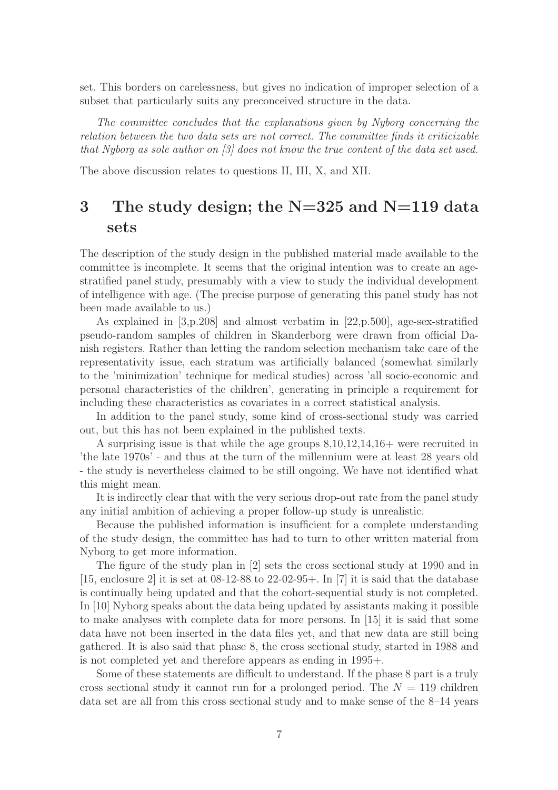set. This borders on carelessness, but gives no indication of improper selection of a subset that particularly suits any preconceived structure in the data.

The committee concludes that the explanations given by Nyborg concerning the relation between the two data sets are not correct. The committee finds it criticizable that Nyborg as sole author on [3] does not know the true content of the data set used.

The above discussion relates to questions II, III, X, and XII.

## 3 The study design; the  $N=325$  and  $N=119$  data sets

The description of the study design in the published material made available to the committee is incomplete. It seems that the original intention was to create an agestratified panel study, presumably with a view to study the individual development of intelligence with age. (The precise purpose of generating this panel study has not been made available to us.)

As explained in [3,p.208] and almost verbatim in [22,p.500], age-sex-stratified pseudo-random samples of children in Skanderborg were drawn from official Danish registers. Rather than letting the random selection mechanism take care of the representativity issue, each stratum was artificially balanced (somewhat similarly to the 'minimization' technique for medical studies) across 'all socio-economic and personal characteristics of the children', generating in principle a requirement for including these characteristics as covariates in a correct statistical analysis.

In addition to the panel study, some kind of cross-sectional study was carried out, but this has not been explained in the published texts.

A surprising issue is that while the age groups 8,10,12,14,16+ were recruited in 'the late 1970s' - and thus at the turn of the millennium were at least 28 years old - the study is nevertheless claimed to be still ongoing. We have not identified what this might mean.

It is indirectly clear that with the very serious drop-out rate from the panel study any initial ambition of achieving a proper follow-up study is unrealistic.

Because the published information is insufficient for a complete understanding of the study design, the committee has had to turn to other written material from Nyborg to get more information.

The figure of the study plan in [2] sets the cross sectional study at 1990 and in [15, enclosure 2] it is set at  $08-12-88$  to  $22-02-95+$ . In [7] it is said that the database is continually being updated and that the cohort-sequential study is not completed. In [10] Nyborg speaks about the data being updated by assistants making it possible to make analyses with complete data for more persons. In [15] it is said that some data have not been inserted in the data files yet, and that new data are still being gathered. It is also said that phase 8, the cross sectional study, started in 1988 and is not completed yet and therefore appears as ending in 1995+.

Some of these statements are difficult to understand. If the phase 8 part is a truly cross sectional study it cannot run for a prolonged period. The  $N = 119$  children data set are all from this cross sectional study and to make sense of the 8–14 years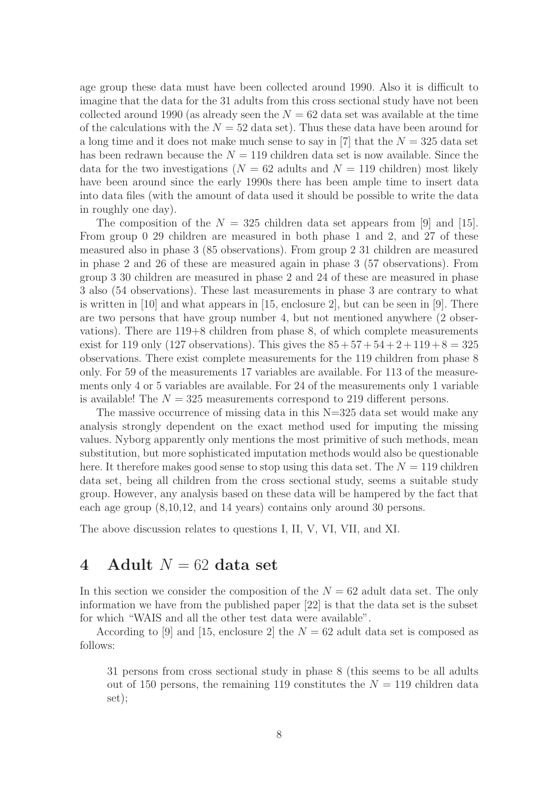age group these data must have been collected around 1990. Also it is difficult to imagine that the data for the 31 adults from this cross sectional study have not been collected around 1990 (as already seen the  $N = 62$  data set was available at the time of the calculations with the  $N = 52$  data set). Thus these data have been around for a long time and it does not make much sense to say in [7] that the  $N = 325$  data set has been redrawn because the  $N = 119$  children data set is now available. Since the data for the two investigations ( $N = 62$  adults and  $N = 119$  children) most likely have been around since the early 1990s there has been ample time to insert data into data files (with the amount of data used it should be possible to write the data in roughly one day).

The composition of the  $N = 325$  children data set appears from [9] and [15]. From group 0 29 children are measured in both phase 1 and 2, and 27 of these measured also in phase 3 (85 observations). From group 2 31 children are measured in phase 2 and 26 of these are measured again in phase 3 (57 observations). From group 3 30 children are measured in phase 2 and 24 of these are measured in phase 3 also (54 observations). These last measurements in phase 3 are contrary to what is written in [10] and what appears in [15, enclosure 2], but can be seen in [9]. There are two persons that have group number 4, but not mentioned anywhere (2 observations). There are 119+8 children from phase 8, of which complete measurements exist for 119 only (127 observations). This gives the  $85 + 57 + 54 + 2 + 119 + 8 = 325$ observations. There exist complete measurements for the 119 children from phase 8 only. For 59 of the measurements 17 variables are available. For 113 of the measurements only 4 or 5 variables are available. For 24 of the measurements only 1 variable is available! The  $N = 325$  measurements correspond to 219 different persons.

The massive occurrence of missing data in this N=325 data set would make any analysis strongly dependent on the exact method used for imputing the missing values. Nyborg apparently only mentions the most primitive of such methods, mean substitution, but more sophisticated imputation methods would also be questionable here. It therefore makes good sense to stop using this data set. The  $N = 119$  children data set, being all children from the cross sectional study, seems a suitable study group. However, any analysis based on these data will be hampered by the fact that each age group (8,10,12, and 14 years) contains only around 30 persons.

The above discussion relates to questions I, II, V, VI, VII, and XI.

### 4 Adult  $N = 62$  data set

In this section we consider the composition of the  $N = 62$  adult data set. The only information we have from the published paper [22] is that the data set is the subset for which "WAIS and all the other test data were available".

According to [9] and [15, enclosure 2] the  $N = 62$  adult data set is composed as follows:

31 persons from cross sectional study in phase 8 (this seems to be all adults out of 150 persons, the remaining 119 constitutes the  $N = 119$  children data set);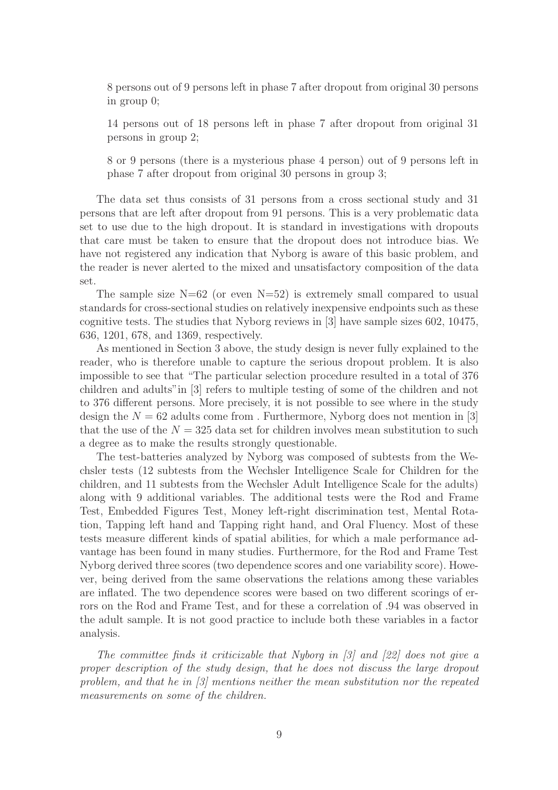8 persons out of 9 persons left in phase 7 after dropout from original 30 persons in group 0;

14 persons out of 18 persons left in phase 7 after dropout from original 31 persons in group 2;

8 or 9 persons (there is a mysterious phase 4 person) out of 9 persons left in phase 7 after dropout from original 30 persons in group 3;

The data set thus consists of 31 persons from a cross sectional study and 31 persons that are left after dropout from 91 persons. This is a very problematic data set to use due to the high dropout. It is standard in investigations with dropouts that care must be taken to ensure that the dropout does not introduce bias. We have not registered any indication that Nyborg is aware of this basic problem, and the reader is never alerted to the mixed and unsatisfactory composition of the data set.

The sample size  $N=62$  (or even  $N=52$ ) is extremely small compared to usual standards for cross-sectional studies on relatively inexpensive endpoints such as these cognitive tests. The studies that Nyborg reviews in [3] have sample sizes 602, 10475, 636, 1201, 678, and 1369, respectively.

As mentioned in Section 3 above, the study design is never fully explained to the reader, who is therefore unable to capture the serious dropout problem. It is also impossible to see that "The particular selection procedure resulted in a total of 376 children and adults"in [3] refers to multiple testing of some of the children and not to 376 different persons. More precisely, it is not possible to see where in the study design the  $N = 62$  adults come from . Furthermore, Nyborg does not mention in [3] that the use of the  $N = 325$  data set for children involves mean substitution to such a degree as to make the results strongly questionable.

The test-batteries analyzed by Nyborg was composed of subtests from the Wechsler tests (12 subtests from the Wechsler Intelligence Scale for Children for the children, and 11 subtests from the Wechsler Adult Intelligence Scale for the adults) along with 9 additional variables. The additional tests were the Rod and Frame Test, Embedded Figures Test, Money left-right discrimination test, Mental Rotation, Tapping left hand and Tapping right hand, and Oral Fluency. Most of these tests measure different kinds of spatial abilities, for which a male performance advantage has been found in many studies. Furthermore, for the Rod and Frame Test Nyborg derived three scores (two dependence scores and one variability score). However, being derived from the same observations the relations among these variables are inflated. The two dependence scores were based on two different scorings of errors on the Rod and Frame Test, and for these a correlation of .94 was observed in the adult sample. It is not good practice to include both these variables in a factor analysis.

The committee finds it criticizable that Nyborg in [3] and [22] does not give a proper description of the study design, that he does not discuss the large dropout problem, and that he in [3] mentions neither the mean substitution nor the repeated measurements on some of the children.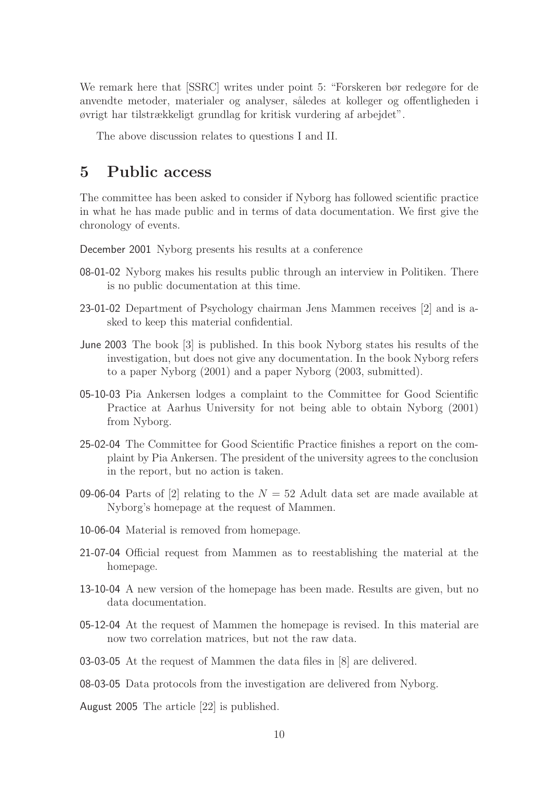We remark here that [SSRC] writes under point 5: "Forskeren bør redegøre for de anvendte metoder, materialer og analyser, således at kolleger og offentligheden i øvrigt har tilstrækkeligt grundlag for kritisk vurdering af arbejdet".

The above discussion relates to questions I and II.

### 5 Public access

The committee has been asked to consider if Nyborg has followed scientific practice in what he has made public and in terms of data documentation. We first give the chronology of events.

December 2001 Nyborg presents his results at a conference

- 08-01-02 Nyborg makes his results public through an interview in Politiken. There is no public documentation at this time.
- 23-01-02 Department of Psychology chairman Jens Mammen receives [2] and is asked to keep this material confidential.
- June 2003 The book [3] is published. In this book Nyborg states his results of the investigation, but does not give any documentation. In the book Nyborg refers to a paper Nyborg (2001) and a paper Nyborg (2003, submitted).
- 05-10-03 Pia Ankersen lodges a complaint to the Committee for Good Scientific Practice at Aarhus University for not being able to obtain Nyborg (2001) from Nyborg.
- 25-02-04 The Committee for Good Scientific Practice finishes a report on the complaint by Pia Ankersen. The president of the university agrees to the conclusion in the report, but no action is taken.
- 09-06-04 Parts of [2] relating to the  $N = 52$  Adult data set are made available at Nyborg's homepage at the request of Mammen.
- 10-06-04 Material is removed from homepage.
- 21-07-04 Official request from Mammen as to reestablishing the material at the homepage.
- 13-10-04 A new version of the homepage has been made. Results are given, but no data documentation.
- 05-12-04 At the request of Mammen the homepage is revised. In this material are now two correlation matrices, but not the raw data.
- 03-03-05 At the request of Mammen the data files in [8] are delivered.
- 08-03-05 Data protocols from the investigation are delivered from Nyborg.

August 2005 The article [22] is published.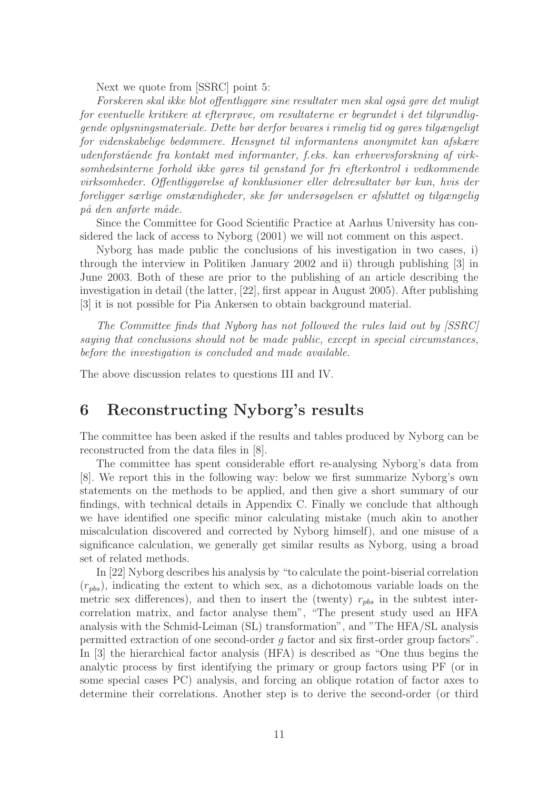Next we quote from [SSRC] point 5:

Forskeren skal ikke blot offentliggøre sine resultater men skal også gøre det muligt for eventuelle kritikere at efterprøve, om resultaterne er begrundet i det tilgrundliggende oplysningsmateriale. Dette bør derfor bevares i rimelig tid og gøres tilgængeligt for videnskabelige bedømmere. Hensynet til informantens anonymitet kan afskære udenforstående fra kontakt med informanter, f.eks. kan erhvervsforskning af virksomhedsinterne forhold ikke gøres til genstand for fri efterkontrol i vedkommende virksomheder. Offentliggørelse af konklusioner eller delresultater bør kun, hvis der foreligger særlige omstændigheder, ske før undersøgelsen er afsluttet og tilgængelig på den anførte måde.

Since the Committee for Good Scientific Practice at Aarhus University has considered the lack of access to Nyborg (2001) we will not comment on this aspect.

Nyborg has made public the conclusions of his investigation in two cases, i) through the interview in Politiken January 2002 and ii) through publishing [3] in June 2003. Both of these are prior to the publishing of an article describing the investigation in detail (the latter, [22], first appear in August 2005). After publishing [3] it is not possible for Pia Ankersen to obtain background material.

The Committee finds that Nyborg has not followed the rules laid out by [SSRC] saying that conclusions should not be made public, except in special circumstances, before the investigation is concluded and made available.

The above discussion relates to questions III and IV.

### 6 Reconstructing Nyborg's results

The committee has been asked if the results and tables produced by Nyborg can be reconstructed from the data files in [8].

The committee has spent considerable effort re-analysing Nyborg's data from [8]. We report this in the following way: below we first summarize Nyborg's own statements on the methods to be applied, and then give a short summary of our findings, with technical details in Appendix C. Finally we conclude that although we have identified one specific minor calculating mistake (much akin to another miscalculation discovered and corrected by Nyborg himself), and one misuse of a significance calculation, we generally get similar results as Nyborg, using a broad set of related methods.

In [22] Nyborg describes his analysis by "to calculate the point-biserial correlation  $(r_{\text{pbs}})$ , indicating the extent to which sex, as a dichotomous variable loads on the metric sex differences), and then to insert the (twenty)  $r_{pbs}$  in the subtest intercorrelation matrix, and factor analyse them", "The present study used an HFA analysis with the Schmid-Leiman (SL) transformation", and "The HFA/SL analysis permitted extraction of one second-order g factor and six first-order group factors". In [3] the hierarchical factor analysis (HFA) is described as "One thus begins the analytic process by first identifying the primary or group factors using PF (or in some special cases PC) analysis, and forcing an oblique rotation of factor axes to determine their correlations. Another step is to derive the second-order (or third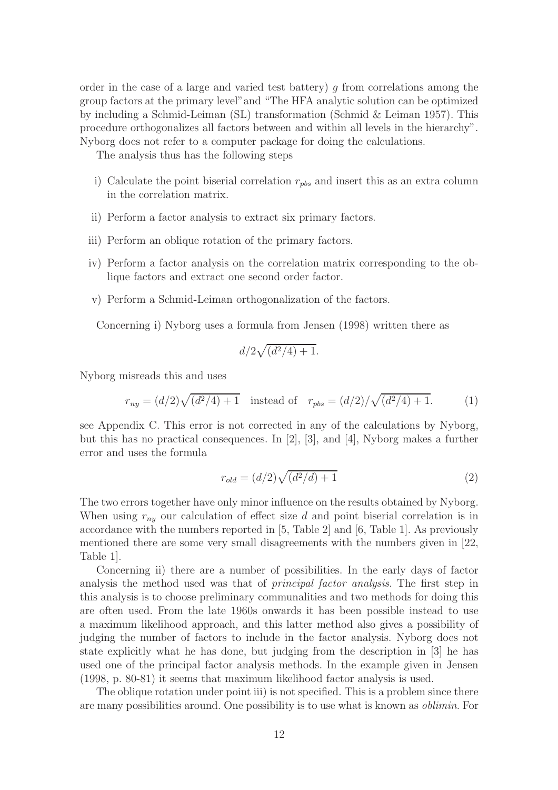order in the case of a large and varied test battery)  $q$  from correlations among the group factors at the primary level"and "The HFA analytic solution can be optimized by including a Schmid-Leiman (SL) transformation (Schmid & Leiman 1957). This procedure orthogonalizes all factors between and within all levels in the hierarchy". Nyborg does not refer to a computer package for doing the calculations.

The analysis thus has the following steps

- i) Calculate the point biserial correlation  $r_{pbs}$  and insert this as an extra column in the correlation matrix.
- ii) Perform a factor analysis to extract six primary factors.
- iii) Perform an oblique rotation of the primary factors.
- iv) Perform a factor analysis on the correlation matrix corresponding to the oblique factors and extract one second order factor.
- v) Perform a Schmid-Leiman orthogonalization of the factors.

Concerning i) Nyborg uses a formula from Jensen (1998) written there as

$$
d/2\sqrt{(d^2/4)+1}.
$$

Nyborg misreads this and uses

$$
r_{ny} = (d/2)\sqrt{(d^2/4) + 1} \quad \text{instead of} \quad r_{pbs} = (d/2)/\sqrt{(d^2/4) + 1}.\tag{1}
$$

see Appendix C. This error is not corrected in any of the calculations by Nyborg, but this has no practical consequences. In [2], [3], and [4], Nyborg makes a further error and uses the formula

$$
r_{old} = (d/2)\sqrt{(d^2/d) + 1} \tag{2}
$$

The two errors together have only minor influence on the results obtained by Nyborg. When using  $r_{ny}$  our calculation of effect size d and point biserial correlation is in accordance with the numbers reported in [5, Table 2] and [6, Table 1]. As previously mentioned there are some very small disagreements with the numbers given in [22, Table 1].

Concerning ii) there are a number of possibilities. In the early days of factor analysis the method used was that of principal factor analysis. The first step in this analysis is to choose preliminary communalities and two methods for doing this are often used. From the late 1960s onwards it has been possible instead to use a maximum likelihood approach, and this latter method also gives a possibility of judging the number of factors to include in the factor analysis. Nyborg does not state explicitly what he has done, but judging from the description in [3] he has used one of the principal factor analysis methods. In the example given in Jensen (1998, p. 80-81) it seems that maximum likelihood factor analysis is used.

The oblique rotation under point iii) is not specified. This is a problem since there are many possibilities around. One possibility is to use what is known as oblimin. For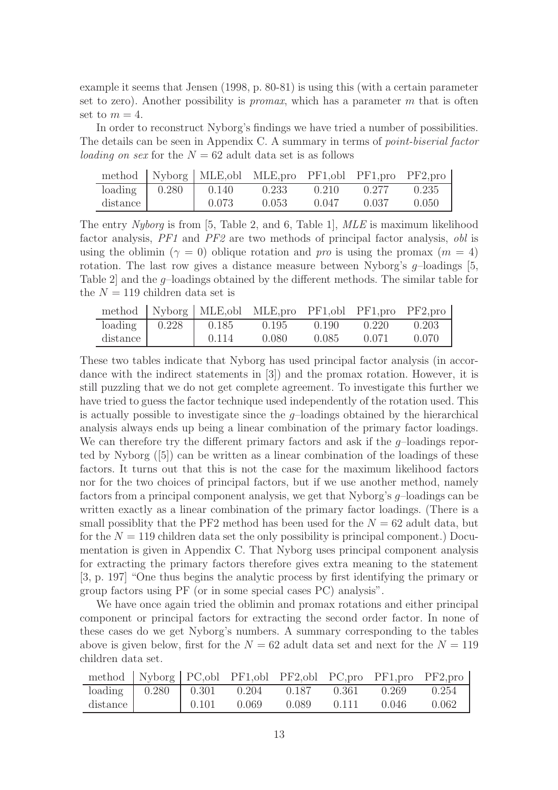example it seems that Jensen (1998, p. 80-81) is using this (with a certain parameter set to zero). Another possibility is *promax*, which has a parameter  $m$  that is often set to  $m = 4$ .

In order to reconstruct Nyborg's findings we have tried a number of possibilities. The details can be seen in Appendix C. A summary in terms of point-biserial factor loading on sex for the  $N = 62$  adult data set is as follows

|          |       |       | method   Nyborg   MLE, obl MLE, pro PF1, obl PF1, pro PF2, pro |         |       |       |
|----------|-------|-------|----------------------------------------------------------------|---------|-------|-------|
| loading  | 0.280 | 0.140 | 0.233                                                          | 0.210   | 0.277 | 0.235 |
| distance |       | 0.073 | 0.053                                                          | (1.047) | 0.037 | 0.050 |

The entry Nyborg is from [5, Table 2, and 6, Table 1], MLE is maximum likelihood factor analysis, PF1 and PF2 are two methods of principal factor analysis, obl is using the oblimin ( $\gamma = 0$ ) oblique rotation and pro is using the promax ( $m = 4$ ) rotation. The last row gives a distance measure between Nyborg's  $q$ -loadings [5, Table 2] and the g–loadings obtained by the different methods. The similar table for the  $N = 119$  children data set is

|                      |       | method Nyborg MLE, obl MLE, pro PF1, obl PF1, pro PF2, pro |       |       |       |
|----------------------|-------|------------------------------------------------------------|-------|-------|-------|
| $loading \mid 0.228$ | 0.185 | 0.195                                                      | 0.190 | 0.220 | 0.203 |
| distance             | 0.114 | 0.080                                                      | 0.085 | 0.071 | 0.070 |

These two tables indicate that Nyborg has used principal factor analysis (in accordance with the indirect statements in [3]) and the promax rotation. However, it is still puzzling that we do not get complete agreement. To investigate this further we have tried to guess the factor technique used independently of the rotation used. This is actually possible to investigate since the  $g$ -loadings obtained by the hierarchical analysis always ends up being a linear combination of the primary factor loadings. We can therefore try the different primary factors and ask if the  $q$ -loadings reported by Nyborg ([5]) can be written as a linear combination of the loadings of these factors. It turns out that this is not the case for the maximum likelihood factors nor for the two choices of principal factors, but if we use another method, namely factors from a principal component analysis, we get that Nyborg's g–loadings can be written exactly as a linear combination of the primary factor loadings. (There is a small possiblity that the PF2 method has been used for the  $N = 62$  adult data, but for the  $N = 119$  children data set the only possibility is principal component.) Documentation is given in Appendix C. That Nyborg uses principal component analysis for extracting the primary factors therefore gives extra meaning to the statement [3, p. 197] "One thus begins the analytic process by first identifying the primary or group factors using PF (or in some special cases PC) analysis".

We have once again tried the oblimin and promax rotations and either principal component or principal factors for extracting the second order factor. In none of these cases do we get Nyborg's numbers. A summary corresponding to the tables above is given below, first for the  $N = 62$  adult data set and next for the  $N = 119$ children data set.

|                                              |                                                                   |       |       |       |       | method   Nyborg   PC, obl PF1, obl PF2, obl PC, pro PF1, pro PF2, pro |
|----------------------------------------------|-------------------------------------------------------------------|-------|-------|-------|-------|-----------------------------------------------------------------------|
| $\alpha$ loading $\beta$ 0.280 $\beta$ 0.301 |                                                                   | 0.204 | 0.187 | 0.361 | 0.269 | 0.254                                                                 |
| distance                                     | $\begin{array}{c} \begin{array}{c} \end{array} \end{array}$ 0.101 | 0.069 | 0.089 | 0.111 | 0.046 | 0.062                                                                 |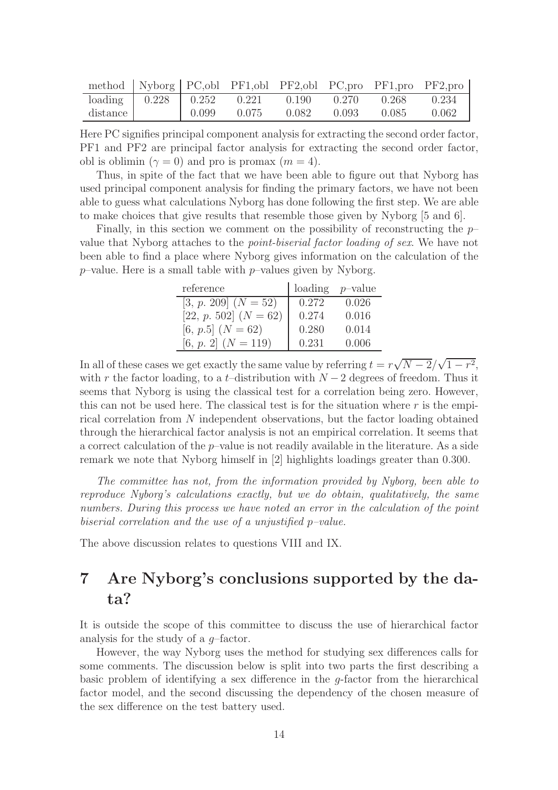|                                                                        |               |       |       |       |       | method Nyborg PC, obl PF1, obl PF2, obl PC, pro PF1, pro PF2, pro |
|------------------------------------------------------------------------|---------------|-------|-------|-------|-------|-------------------------------------------------------------------|
| $\alpha$ loading $\begin{bmatrix} 0.228 & 0.252 & 0.221 \end{bmatrix}$ |               |       | 0.190 | 0.270 | 0.268 | 0.234                                                             |
| distance                                                               | $\vert 0.099$ | 0.075 | 0.082 | 0.093 | 0.085 | 0.062                                                             |

Here PC signifies principal component analysis for extracting the second order factor, PF1 and PF2 are principal factor analysis for extracting the second order factor, obl is oblimin ( $\gamma = 0$ ) and pro is promax ( $m = 4$ ).

Thus, in spite of the fact that we have been able to figure out that Nyborg has used principal component analysis for finding the primary factors, we have not been able to guess what calculations Nyborg has done following the first step. We are able to make choices that give results that resemble those given by Nyborg [5 and 6].

Finally, in this section we comment on the possibility of reconstructing the  $p$ value that Nyborg attaches to the point-biserial factor loading of sex. We have not been able to find a place where Nyborg gives information on the calculation of the  $p$ –value. Here is a small table with  $p$ –values given by Nyborg.

| reference               | loading | $p$ -value |
|-------------------------|---------|------------|
| $[3, p. 209] (N = 52)$  | 0.272   | 0.026      |
| [22, p. 502] $(N = 62)$ | 0.274   | 0.016      |
| [6, p.5] $(N = 62)$     | 0.280   | 0.014      |
| [6, p. 2] $(N = 119)$   | 0.231   | 0.006      |

In all of these cases we get exactly the same value by referring  $t = r\sqrt{N-2}/\sqrt{1-r^2}$ , with r the factor loading, to a t–distribution with  $N-2$  degrees of freedom. Thus it seems that Nyborg is using the classical test for a correlation being zero. However, this can not be used here. The classical test is for the situation where  $r$  is the empirical correlation from N independent observations, but the factor loading obtained through the hierarchical factor analysis is not an empirical correlation. It seems that a correct calculation of the  $p$ –value is not readily available in the literature. As a side remark we note that Nyborg himself in [2] highlights loadings greater than 0.300.

The committee has not, from the information provided by Nyborg, been able to reproduce Nyborg's calculations exactly, but we do obtain, qualitatively, the same numbers. During this process we have noted an error in the calculation of the point biserial correlation and the use of a unjustified p–value.

The above discussion relates to questions VIII and IX.

# 7 Are Nyborg's conclusions supported by the data?

It is outside the scope of this committee to discuss the use of hierarchical factor analysis for the study of a  $q$ -factor.

However, the way Nyborg uses the method for studying sex differences calls for some comments. The discussion below is split into two parts the first describing a basic problem of identifying a sex difference in the  $q$ -factor from the hierarchical factor model, and the second discussing the dependency of the chosen measure of the sex difference on the test battery used.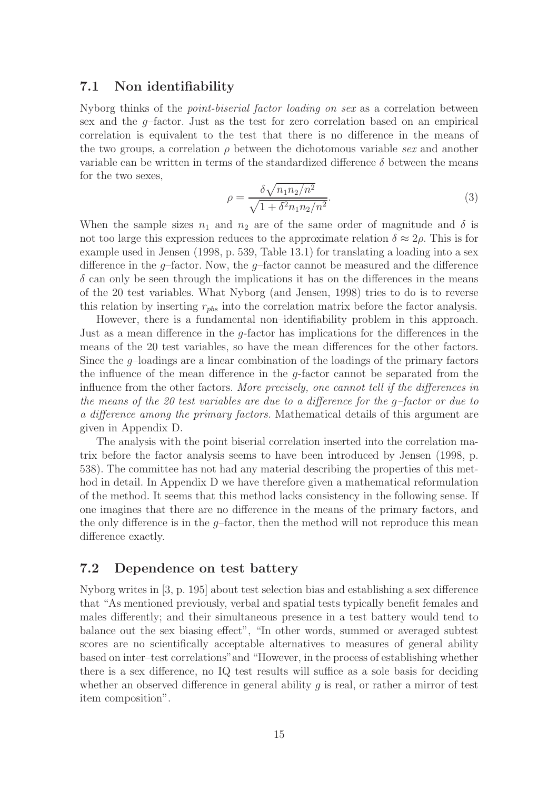#### 7.1 Non identifiability

Nyborg thinks of the point-biserial factor loading on sex as a correlation between sex and the g–factor. Just as the test for zero correlation based on an empirical correlation is equivalent to the test that there is no difference in the means of the two groups, a correlation  $\rho$  between the dichotomous variable sex and another variable can be written in terms of the standardized difference  $\delta$  between the means for the two sexes,

$$
\rho = \frac{\delta \sqrt{n_1 n_2 / n^2}}{\sqrt{1 + \delta^2 n_1 n_2 / n^2}}.
$$
\n(3)

When the sample sizes  $n_1$  and  $n_2$  are of the same order of magnitude and  $\delta$  is not too large this expression reduces to the approximate relation  $\delta \approx 2\rho$ . This is for example used in Jensen (1998, p. 539, Table 13.1) for translating a loading into a sex difference in the  $g$ -factor. Now, the  $g$ -factor cannot be measured and the difference  $\delta$  can only be seen through the implications it has on the differences in the means of the 20 test variables. What Nyborg (and Jensen, 1998) tries to do is to reverse this relation by inserting  $r_{obs}$  into the correlation matrix before the factor analysis.

However, there is a fundamental non–identifiability problem in this approach. Just as a mean difference in the  $q$ -factor has implications for the differences in the means of the 20 test variables, so have the mean differences for the other factors. Since the g–loadings are a linear combination of the loadings of the primary factors the influence of the mean difference in the g-factor cannot be separated from the influence from the other factors. More precisely, one cannot tell if the differences in the means of the 20 test variables are due to a difference for the  $q$ -factor or due to a difference among the primary factors. Mathematical details of this argument are given in Appendix D.

The analysis with the point biserial correlation inserted into the correlation matrix before the factor analysis seems to have been introduced by Jensen (1998, p. 538). The committee has not had any material describing the properties of this method in detail. In Appendix D we have therefore given a mathematical reformulation of the method. It seems that this method lacks consistency in the following sense. If one imagines that there are no difference in the means of the primary factors, and the only difference is in the  $q$ -factor, then the method will not reproduce this mean difference exactly.

#### 7.2 Dependence on test battery

Nyborg writes in [3, p. 195] about test selection bias and establishing a sex difference that "As mentioned previously, verbal and spatial tests typically benefit females and males differently; and their simultaneous presence in a test battery would tend to balance out the sex biasing effect", "In other words, summed or averaged subtest scores are no scientifically acceptable alternatives to measures of general ability based on inter–test correlations"and "However, in the process of establishing whether there is a sex difference, no IQ test results will suffice as a sole basis for deciding whether an observed difference in general ability  $g$  is real, or rather a mirror of test item composition".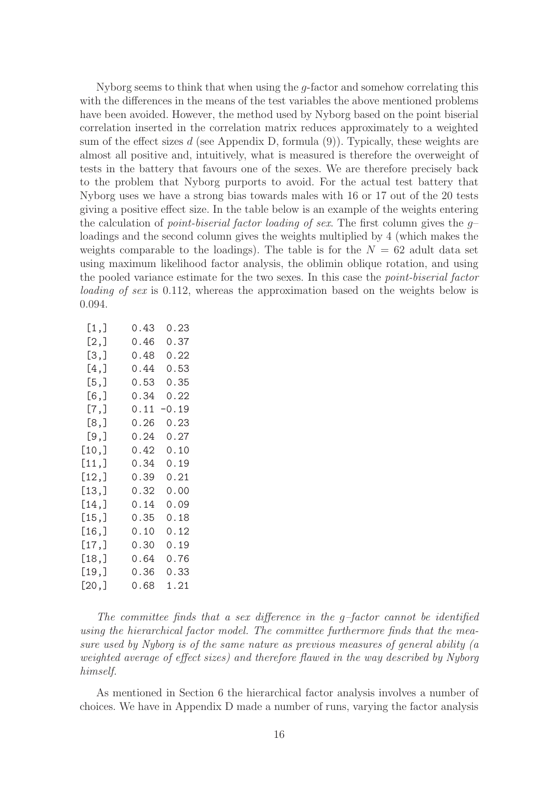Nyborg seems to think that when using the g-factor and somehow correlating this with the differences in the means of the test variables the above mentioned problems have been avoided. However, the method used by Nyborg based on the point biserial correlation inserted in the correlation matrix reduces approximately to a weighted sum of the effect sizes d (see Appendix D, formula  $(9)$ ). Typically, these weights are almost all positive and, intuitively, what is measured is therefore the overweight of tests in the battery that favours one of the sexes. We are therefore precisely back to the problem that Nyborg purports to avoid. For the actual test battery that Nyborg uses we have a strong bias towards males with 16 or 17 out of the 20 tests giving a positive effect size. In the table below is an example of the weights entering the calculation of *point-biserial factor loading of sex*. The first column gives the  $q$ loadings and the second column gives the weights multiplied by 4 (which makes the weights comparable to the loadings). The table is for the  $N = 62$  adult data set using maximum likelihood factor analysis, the oblimin oblique rotation, and using the pooled variance estimate for the two sexes. In this case the *point-biserial factor* loading of sex is 0.112, whereas the approximation based on the weights below is 0.094.

| 0.43 | 0.23    |
|------|---------|
| 0.46 | 0.37    |
| 0.48 | 0.22    |
| 0.44 | 0.53    |
| 0.53 | 0.35    |
| 0.34 | 0.22    |
| 0.11 | $-0.19$ |
| 0.26 | 0.23    |
| 0.24 | 0.27    |
| 0.42 | 0.10    |
| 0.34 | 0.19    |
| 0.39 | 0.21    |
| 0.32 | 0.00    |
| 0.14 | 0.09    |
| 0.35 | 0.18    |
| 0.10 | 0.12    |
| 0.30 | 0.19    |
| 0.64 | 0.76    |
| 0.36 | 0.33    |
| 0.68 | 1.21    |
|      |         |

The committee finds that a sex difference in the g–factor cannot be identified using the hierarchical factor model. The committee furthermore finds that the measure used by Nyborg is of the same nature as previous measures of general ability (a weighted average of effect sizes) and therefore flawed in the way described by Nyborg himself.

As mentioned in Section 6 the hierarchical factor analysis involves a number of choices. We have in Appendix D made a number of runs, varying the factor analysis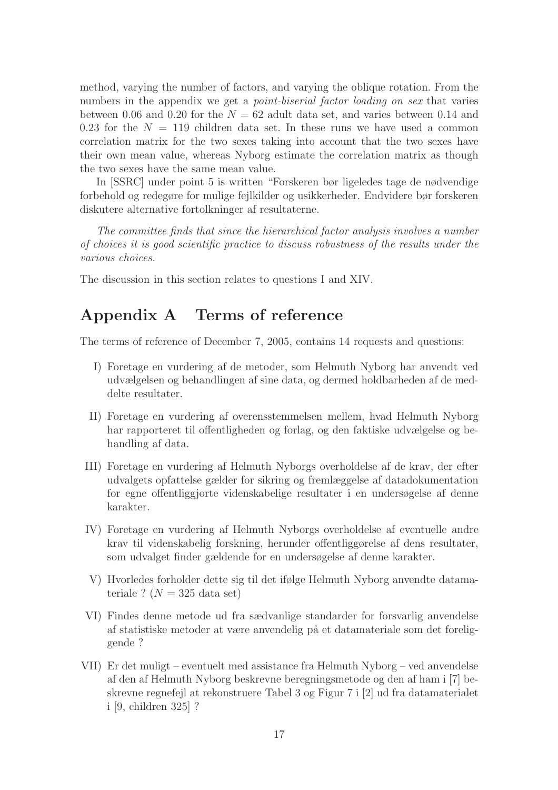method, varying the number of factors, and varying the oblique rotation. From the numbers in the appendix we get a *point-biserial factor loading on sex* that varies between 0.06 and 0.20 for the  $N = 62$  adult data set, and varies between 0.14 and 0.23 for the  $N = 119$  children data set. In these runs we have used a common correlation matrix for the two sexes taking into account that the two sexes have their own mean value, whereas Nyborg estimate the correlation matrix as though the two sexes have the same mean value.

In [SSRC] under point 5 is written "Forskeren bør ligeledes tage de nødvendige forbehold og redegøre for mulige fejlkilder og usikkerheder. Endvidere bør forskeren diskutere alternative fortolkninger af resultaterne.

The committee finds that since the hierarchical factor analysis involves a number of choices it is good scientific practice to discuss robustness of the results under the various choices.

The discussion in this section relates to questions I and XIV.

### Appendix A Terms of reference

The terms of reference of December 7, 2005, contains 14 requests and questions:

- I) Foretage en vurdering af de metoder, som Helmuth Nyborg har anvendt ved udvælgelsen og behandlingen af sine data, og dermed holdbarheden af de meddelte resultater.
- II) Foretage en vurdering af overensstemmelsen mellem, hvad Helmuth Nyborg har rapporteret til offentligheden og forlag, og den faktiske udvælgelse og behandling af data.
- III) Foretage en vurdering af Helmuth Nyborgs overholdelse af de krav, der efter udvalgets opfattelse gælder for sikring og fremlæggelse af datadokumentation for egne offentliggjorte videnskabelige resultater i en undersøgelse af denne karakter.
- IV) Foretage en vurdering af Helmuth Nyborgs overholdelse af eventuelle andre krav til videnskabelig forskning, herunder offentliggørelse af dens resultater, som udvalget finder gældende for en undersøgelse af denne karakter.
- V) Hvorledes forholder dette sig til det ifølge Helmuth Nyborg anvendte datamateriale ?  $(N = 325$  data set)
- VI) Findes denne metode ud fra sædvanlige standarder for forsvarlig anvendelse af statistiske metoder at være anvendelig på et datamateriale som det foreliggende ?
- VII) Er det muligt eventuelt med assistance fra Helmuth Nyborg ved anvendelse af den af Helmuth Nyborg beskrevne beregningsmetode og den af ham i [7] beskrevne regnefejl at rekonstruere Tabel 3 og Figur 7 i [2] ud fra datamaterialet i [9, children 325] ?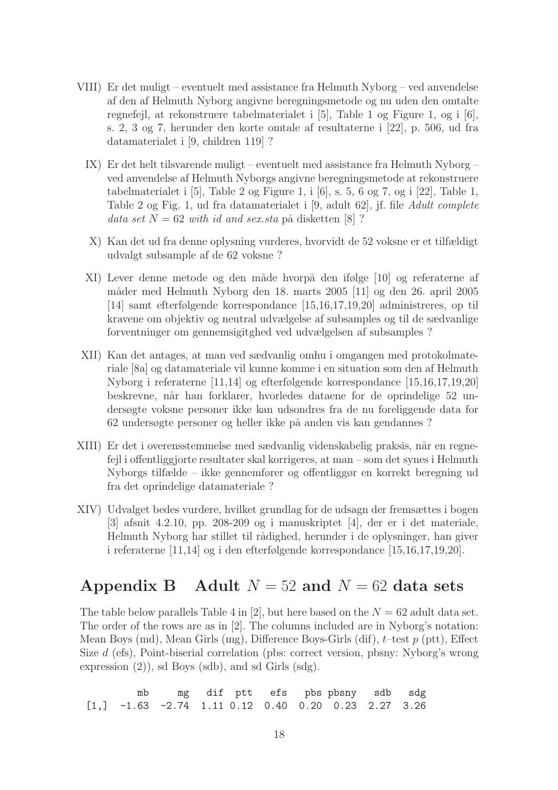- VIII) Er det muligt eventuelt med assistance fra Helmuth Nyborg ved anvendelse af den af Helmuth Nyborg angivne beregningsmetode og nu uden den omtalte regnefejl, at rekonstruere tabelmaterialet i [5], Table 1 og Figure 1, og i [6], s. 2, 3 og 7, herunder den korte omtale af resultaterne i [22], p. 506, ud fra datamaterialet i [9, children 119] ?
	- IX) Er det helt tilsvarende muligt eventuelt med assistance fra Helmuth Nyborg ved anvendelse af Helmuth Nyborgs angivne beregningsmetode at rekonstruere tabelmaterialet i [5], Table 2 og Figure 1, i [6], s. 5, 6 og 7, og i [22], Table 1, Table 2 og Fig. 1, ud fra datamaterialet i [9, adult 62], jf. file Adult complete data set  $N = 62$  with id and sex.sta på disketten [8] ?
	- X) Kan det ud fra denne oplysning vurderes, hvorvidt de 52 voksne er et tilfældigt udvalgt subsample af de 62 voksne ?
	- XI) Lever denne metode og den måde hvorpå den ifølge [10] og referaterne af m˚ader med Helmuth Nyborg den 18. marts 2005 [11] og den 26. april 2005 [14] samt efterfølgende korrespondance [15,16,17,19,20] administreres, op til kravene om objektiv og neutral udvælgelse af subsamples og til de sædvanlige forventninger om gennemsigitghed ved udvælgelsen af subsamples ?
- XII) Kan det antages, at man ved sædvanlig omhu i omgangen med protokolmateriale [8a] og datamateriale vil kunne komme i en situation som den af Helmuth Nyborg i referaterne [11,14] og efterfølgende korrespondance [15,16,17,19,20] beskrevne, når han forklarer, hvorledes dataene for de oprindelige 52 undersøgte voksne personer ikke kan udsondres fra de nu foreliggende data for 62 undersøgte personer og heller ikke på anden vis kan gendannes?
- XIII) Er det i overensstemmelse med sædvanlig videnskabelig praksis, når en regnefejl i offentliggjorte resultater skal korrigeres, at man – som det synes i Helmuth Nyborgs tilfælde – ikke gennemfører og offentliggør en korrekt beregning ud fra det oprindelige datamateriale ?
- XIV) Udvalget bedes vurdere, hvilket grundlag for de udsagn der fremsættes i bogen [3] afsnit 4.2.10, pp. 208-209 og i manuskriptet [4], der er i det materiale, Helmuth Nyborg har stillet til rådighed, herunder i de oplysninger, han giver i referaterne [11,14] og i den efterfølgende korrespondance [15,16,17,19,20].

### Appendix B Adult  $N = 52$  and  $N = 62$  data sets

The table below parallels Table 4 in [2], but here based on the  $N = 62$  adult data set. The order of the rows are as in [2]. The columns included are in Nyborg's notation: Mean Boys (md), Mean Girls (mg), Difference Boys-Girls (dif),  $t$ -test  $p$  (ptt), Effect Size d (efs), Point-biserial correlation (pbs: correct version, pbsny: Nyborg's wrong expression  $(2)$ , sd Boys (sdb), and sd Girls (sdg).

mb mg dif ptt efs pbs pbsny sdb sdg [1,] -1.63 -2.74 1.11 0.12 0.40 0.20 0.23 2.27 3.26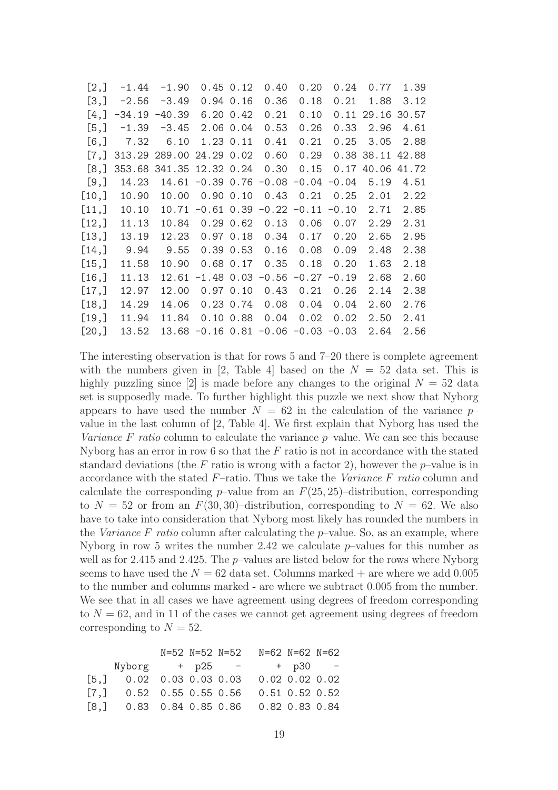| [2,]                 |       | $-1.44 -1.90$                                        |            | $0.45\;0.12$    | 0.40                                        | 0.20                | 0.24 | 0.77               | 1.39 |
|----------------------|-------|------------------------------------------------------|------------|-----------------|---------------------------------------------|---------------------|------|--------------------|------|
| [3,]                 |       | $-2.56 -3.49$                                        |            | $0.94$ 0.16     | 0.36                                        | 0.18                | 0.21 | 1.88               | 3.12 |
| [4,]                 |       | $-34.19 - 40.39$                                     |            | $6.20 \ \ 0.42$ | 0.21                                        | 0.10                |      | $0.11$ 29.16 30.57 |      |
| [5,]                 |       | $-1.39 -3.45$                                        |            | 2.06 0.04       | 0.53                                        | 0.26                | 0.33 | 2.96               | 4.61 |
| $[6,$ ]              | 7.32  | 6.10                                                 |            | 1.23 0.11       | 0.41                                        | 0.21                | 0.25 | 3.05               | 2.88 |
| $\lbrack 7, \rbrack$ |       | 313.29 289.00 24.29 0.02                             |            |                 | 0.60                                        | 0.29                |      | 0.38 38.11 42.88   |      |
| [8,]                 |       | 353.68 341.35 12.32 0.24                             |            |                 | 0.30                                        | 0.15                |      | 0.17 40.06 41.72   |      |
| [9,]                 |       | $14.23$ $14.61$ $-0.39$ 0.76 $-0.08$ $-0.04$ $-0.04$ |            |                 |                                             |                     |      | 5.19               | 4.51 |
| [10,]                | 10.90 | 10.00                                                |            | $0.90\;0.10$    | 0.43                                        | 0.21                | 0.25 | 2.01               | 2.22 |
| [11,]                | 10.10 |                                                      |            |                 | $10.71 - 0.61$ 0.39 $-0.22$ $-0.11$ $-0.10$ |                     |      | 2.71               | 2.85 |
| [12,]                | 11.13 | 10.84                                                |            | $0.29 \; 0.62$  | 0.13                                        | 0.06                | 0.07 | 2.29               | 2.31 |
| [13,]                | 13.19 | 12.23                                                |            | $0.97$ $0.18$   | 0.34                                        | 0.17                | 0.20 | 2.65               | 2.95 |
| [14,]                | 9.94  | 9.55                                                 |            | $0.39$ $0.53$   | 0.16                                        | 0.08                | 0.09 | 2.48               | 2.38 |
| [15,]                | 11.58 | 10.90                                                |            | $0.68$ 0.17     | 0.35                                        | 0.18                | 0.20 | 1.63               | 2.18 |
| [16,                 | 11.13 | 12.61                                                | -1.48 0.03 |                 |                                             | $-0.56 -0.27 -0.19$ |      | 2.68               | 2.60 |
| [17,]                | 12.97 | 12.00                                                |            | $0.97$ $0.10$   | 0.43                                        | 0.21                | 0.26 | 2.14               | 2.38 |
| [18,]                | 14.29 | 14.06                                                |            | $0.23 \, 0.74$  | 0.08                                        | 0.04                | 0.04 | 2.60               | 2.76 |
| [19,]                | 11.94 | 11.84                                                |            | $0.10\;0.88$    | 0.04                                        | 0.02                | 0.02 | 2.50               | 2.41 |
| [20,]                | 13.52 |                                                      |            |                 | $13.68 - 0.16$ 0.81 $-0.06$ $-0.03$ $-0.03$ |                     |      | 2.64               | 2.56 |
|                      |       |                                                      |            |                 |                                             |                     |      |                    |      |

The interesting observation is that for rows 5 and 7–20 there is complete agreement with the numbers given in [2, Table 4] based on the  $N = 52$  data set. This is highly puzzling since  $[2]$  is made before any changes to the original  $N = 52$  data set is supposedly made. To further highlight this puzzle we next show that Nyborg appears to have used the number  $N = 62$  in the calculation of the variance p– value in the last column of [2, Table 4]. We first explain that Nyborg has used the Variance  $F$  ratio column to calculate the variance  $p$ -value. We can see this because Nyborg has an error in row 6 so that the  $F$  ratio is not in accordance with the stated standard deviations (the F ratio is wrong with a factor 2), however the  $p$ -value is in accordance with the stated  $F$ -ratio. Thus we take the *Variance F ratio* column and calculate the corresponding p–value from an  $F(25, 25)$ –distribution, corresponding to  $N = 52$  or from an  $F(30, 30)$ -distribution, corresponding to  $N = 62$ . We also have to take into consideration that Nyborg most likely has rounded the numbers in the *Variance F ratio* column after calculating the  $p$ -value. So, as an example, where Nyborg in row 5 writes the number 2.42 we calculate  $p$ -values for this number as well as for 2.415 and 2.425. The  $p$ -values are listed below for the rows where Nyborg seems to have used the  $N = 62$  data set. Columns marked  $+$  are where we add 0.005 to the number and columns marked - are where we subtract 0.005 from the number. We see that in all cases we have agreement using degrees of freedom corresponding to  $N = 62$ , and in 11 of the cases we cannot get agreement using degrees of freedom corresponding to  $N = 52$ .

|                                           |  | N=52 N=52 N=52 N=62 N=62 N=62 |  |
|-------------------------------------------|--|-------------------------------|--|
| Nyborg + $p25 - + p30 -$                  |  |                               |  |
| $[5,]$ 0.02 0.03 0.03 0.03 0.02 0.02 0.02 |  |                               |  |
| $[7,]$ 0.52 0.55 0.55 0.56 0.51 0.52 0.52 |  |                               |  |
| $[8,]$ 0.83 0.84 0.85 0.86 0.82 0.83 0.84 |  |                               |  |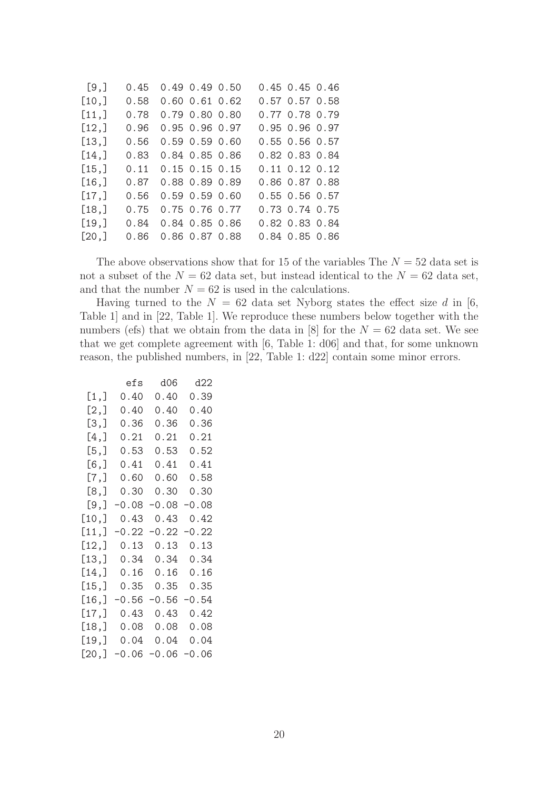| 0.45 |  |                                                                                                                                                                                                                                    |                                                                                                                                                                                                                                    |
|------|--|------------------------------------------------------------------------------------------------------------------------------------------------------------------------------------------------------------------------------------|------------------------------------------------------------------------------------------------------------------------------------------------------------------------------------------------------------------------------------|
| 0.58 |  |                                                                                                                                                                                                                                    |                                                                                                                                                                                                                                    |
| 0.78 |  |                                                                                                                                                                                                                                    |                                                                                                                                                                                                                                    |
| 0.96 |  |                                                                                                                                                                                                                                    |                                                                                                                                                                                                                                    |
| 0.56 |  |                                                                                                                                                                                                                                    |                                                                                                                                                                                                                                    |
| 0.83 |  |                                                                                                                                                                                                                                    |                                                                                                                                                                                                                                    |
| 0.11 |  |                                                                                                                                                                                                                                    |                                                                                                                                                                                                                                    |
| 0.87 |  |                                                                                                                                                                                                                                    |                                                                                                                                                                                                                                    |
| 0.56 |  |                                                                                                                                                                                                                                    |                                                                                                                                                                                                                                    |
| 0.75 |  |                                                                                                                                                                                                                                    |                                                                                                                                                                                                                                    |
| 0.84 |  |                                                                                                                                                                                                                                    |                                                                                                                                                                                                                                    |
| 0.86 |  |                                                                                                                                                                                                                                    |                                                                                                                                                                                                                                    |
|      |  | $0.49$ 0.49 0.50<br>$0.60$ $0.61$ $0.62$<br>0.79 0.80 0.80<br>0.95 0.96 0.97<br>$0.59$ 0.59 0.60<br>0.84 0.85 0.86<br>$0.15$ 0.15 0.15<br>0.88 0.89 0.89<br>$0.59$ 0.59 0.60<br>0.75 0.76 0.77<br>0.84 0.85 0.86<br>0.86 0.87 0.88 | $0.45$ 0.45 0.46<br>$0.57$ 0.57 0.58<br>0.77 0.78 0.79<br>0.95 0.96 0.97<br>$0.55$ 0.56 0.57<br>0.82 0.83 0.84<br>$0.11$ $0.12$ $0.12$<br>0.86 0.87 0.88<br>$0.55$ 0.56 0.57<br>0.73 0.74 0.75<br>0.82 0.83 0.84<br>0.84 0.85 0.86 |

The above observations show that for 15 of the variables The  $N = 52$  data set is not a subset of the  $N = 62$  data set, but instead identical to the  $N = 62$  data set, and that the number  $N = 62$  is used in the calculations.

Having turned to the  $N = 62$  data set Nyborg states the effect size d in [6, Table 1] and in [22, Table 1]. We reproduce these numbers below together with the numbers (efs) that we obtain from the data in [8] for the  $N = 62$  data set. We see that we get complete agreement with [6, Table 1: d06] and that, for some unknown reason, the published numbers, in [22, Table 1: d22] contain some minor errors.

|         | efs  | d06     | d22  |
|---------|------|---------|------|
| [1,]    | 0.40 | 0.40    | 0.39 |
| [2,]    | 0.40 | 0.40    | 0.40 |
| [3,]    | 0.36 | 0.36    | 0.36 |
| $[4,$ ] | 0.21 | 0.21    | 0.21 |
| [5,]    | 0.53 | 0.53    | 0.52 |
| [6,]    | 0.41 | 0.41    | 0.41 |
| [7,]    | 0.60 | 0.60    | 0.58 |
| [8,]    | 0.30 | 0.30    | 0.30 |
| [9,]    | 0.08 | 0.08    | 0.08 |
| [10,    | 0.43 | 0.43    | 0.42 |
| [11,]   | 0.22 | 0.22    | 0.22 |
| [12,]   | 0.13 | 0.13    | 0.13 |
| [13,]   | 0.34 | 0.34    | 0.34 |
| [14,]   | 0.16 | 0.16    | 0.16 |
| [15,]   | 0.35 | 0.35    | 0.35 |
| [16, ]  | 0.56 | $-0.56$ | 0.54 |
| [17,    | 0.43 | 0.43    | 0.42 |
| [18,    | 0.08 | 0.08    | 0.08 |
| [19,]   | 0.04 | 0.04    | 0.04 |
| [20,]   | 0.06 | 0.06    | 0.06 |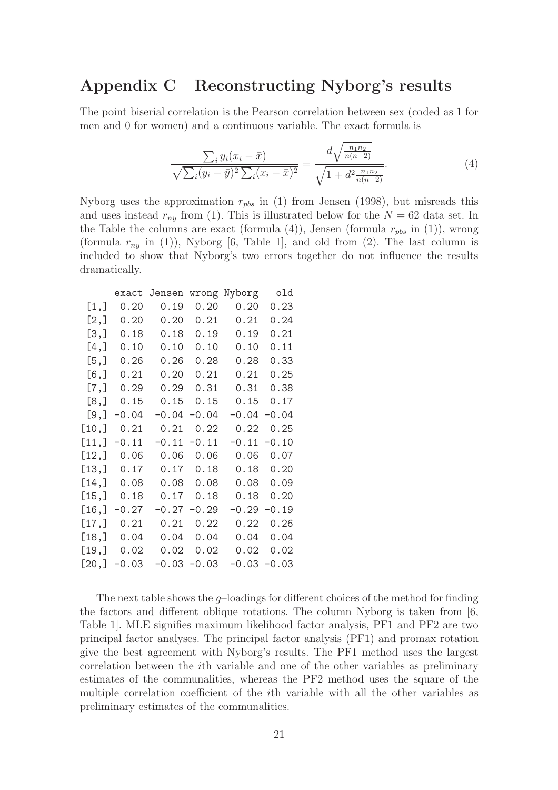### Appendix C Reconstructing Nyborg's results

The point biserial correlation is the Pearson correlation between sex (coded as 1 for men and 0 for women) and a continuous variable. The exact formula is

$$
\frac{\sum_{i} y_{i}(x_{i} - \bar{x})}{\sqrt{\sum_{i} (y_{i} - \bar{y})^{2} \sum_{i} (x_{i} - \bar{x})^{2}}} = \frac{d \sqrt{\frac{n_{1} n_{2}}{n(n-2)}}}{\sqrt{1 + d^{2} \frac{n_{1} n_{2}}{n(n-2)}}}. \tag{4}
$$

Nyborg uses the approximation  $r_{pbs}$  in (1) from Jensen (1998), but misreads this and uses instead  $r_{ny}$  from (1). This is illustrated below for the  $N = 62$  data set. In the Table the columns are exact (formula  $(4)$ ), Jensen (formula  $r_{pbs}$  in  $(1)$ ), wrong (formula  $r_{ny}$  in (1)), Nyborg [6, Table 1], and old from (2). The last column is included to show that Nyborg's two errors together do not influence the results dramatically.

|         | exact   | Jensen  | wrong   | Nyborg  | old     |
|---------|---------|---------|---------|---------|---------|
| [1,]    | 0.20    | 0.19    | 0.20    | 0.20    | 0.23    |
| [2,]    | 0.20    | 0.20    | 0.21    | 0.21    | 0.24    |
| [3,]    | 0.18    | 0.18    | 0.19    | 0.19    | 0.21    |
| $[4,$ ] | 0.10    | 0.10    | 0.10    | 0.10    | 0.11    |
| [5,]    | 0.26    | 0.26    | 0.28    | 0.28    | 0.33    |
| $[6,$ ] | 0.21    | 0.20    | 0.21    | 0.21    | 0.25    |
| [7,]    | 0.29    | 0.29    | 0.31    | 0.31    | 0.38    |
| [8,]    | 0.15    | 0.15    | 0.15    | 0.15    | 0.17    |
| $[9,$ ] | $-0.04$ | $-0.04$ | $-0.04$ | $-0.04$ | $-0.04$ |
| [10,    | 0.21    | 0.21    | 0.22    | 0.22    | 0.25    |
| [11,]   | $-0.11$ | $-0.11$ | $-0.11$ | $-0.11$ | $-0.10$ |
| [12,]   | 0.06    | 0.06    | 0.06    | 0.06    | 0.07    |
| [13,]   | 0.17    | 0.17    | 0.18    | 0.18    | 0.20    |
| [14,    | 0.08    | 0.08    | 0.08    | 0.08    | 0.09    |
| [15,]   | 0.18    | 0.17    | 0.18    | 0.18    | 0.20    |
| [16,    | $-0.27$ | $-0.27$ | $-0.29$ | $-0.29$ | $-0.19$ |
| [17,]   | 0.21    | 0.21    | 0.22    | 0.22    | 0.26    |
| [18,    | 0.04    | 0.04    | 0.04    | 0.04    | 0.04    |
| [19,]   | 0.02    | 0.02    | 0.02    | 0.02    | 0.02    |
| [20,]   | $-0.03$ | $-0.03$ | $-0.03$ | $-0.03$ | $-0.03$ |

The next table shows the  $g$ -loadings for different choices of the method for finding the factors and different oblique rotations. The column Nyborg is taken from [6, Table 1]. MLE signifies maximum likelihood factor analysis, PF1 and PF2 are two principal factor analyses. The principal factor analysis (PF1) and promax rotation give the best agreement with Nyborg's results. The PF1 method uses the largest correlation between the ith variable and one of the other variables as preliminary estimates of the communalities, whereas the PF2 method uses the square of the multiple correlation coefficient of the ith variable with all the other variables as preliminary estimates of the communalities.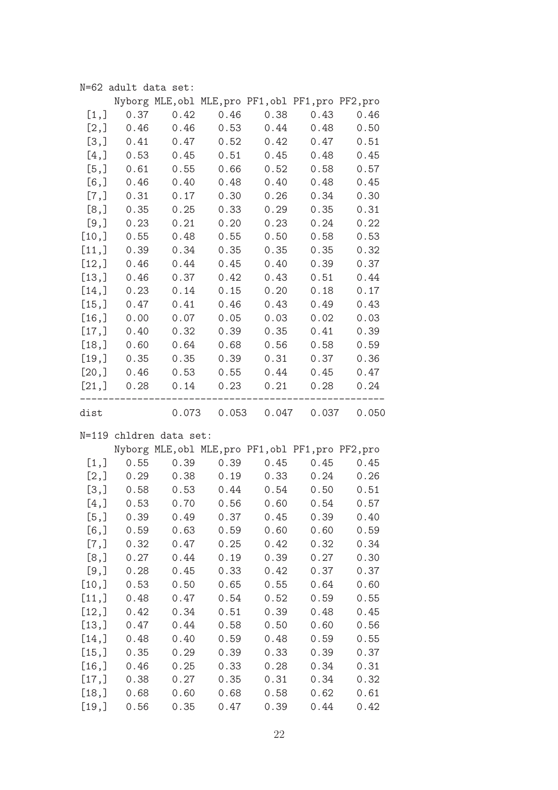|          | N=62 adult data set: |                         |       |       |                                                     |       |
|----------|----------------------|-------------------------|-------|-------|-----------------------------------------------------|-------|
|          |                      |                         |       |       | Nyborg MLE, obl MLE, pro PF1, obl PF1, pro PF2, pro |       |
| [1,]     | 0.37                 | 0.42                    | 0.46  |       | $0.38$ 0.43                                         | 0.46  |
| [2,]     | 0.46                 | 0.46                    | 0.53  | 0.44  | 0.48                                                | 0.50  |
| [3,]     | 0.41                 | 0.47                    | 0.52  | 0.42  | 0.47                                                | 0.51  |
| [4,]     | 0.53                 | 0.45                    | 0.51  | 0.45  | 0.48                                                | 0.45  |
| [5,]     |                      | $0.61$ 0.55             | 0.66  | 0.52  | 0.58                                                | 0.57  |
| [6, ]    |                      | $0.46$ 0.40             | 0.48  | 0.40  | 0.48                                                | 0.45  |
| $[7,]$   | 0.31                 | 0.17                    | 0.30  | 0.26  | 0.34                                                | 0.30  |
| [8,]     | 0.35                 | 0.25                    | 0.33  | 0.29  | 0.35                                                | 0.31  |
| [9,]     | 0.23                 | 0.21                    | 0.20  | 0.23  | 0.24                                                | 0.22  |
| [10,]    |                      | $0.55$ 0.48             | 0.55  | 0.50  | 0.58                                                | 0.53  |
| [11,]    | 0.39                 | 0.34                    | 0.35  | 0.35  | 0.35                                                | 0.32  |
| [12,]    | 0.46                 | 0.44                    | 0.45  | 0.40  | 0.39                                                | 0.37  |
| [13,]    | 0.46                 | 0.37                    | 0.42  | 0.43  | 0.51                                                | 0.44  |
| [14,     | 0.23                 | 0.14                    | 0.15  | 0.20  | 0.18                                                | 0.17  |
| [15,]    |                      | $0.47$ 0.41             | 0.46  | 0.43  | 0.49                                                | 0.43  |
| [16,     | 0.00                 | 0.07                    | 0.05  | 0.03  | 0.02                                                | 0.03  |
| [17,]    | 0.40                 | 0.32                    | 0.39  | 0.35  | 0.41                                                | 0.39  |
| [18,]    | 0.60                 | 0.64                    | 0.68  | 0.56  | 0.58                                                | 0.59  |
| [19,     | 0.35                 | 0.35                    | 0.39  | 0.31  | 0.37                                                | 0.36  |
|          |                      | $[20,]$ 0.46 0.53       | 0.55  |       | $0.44$ 0.45                                         | 0.47  |
| [21,]    | 0.28                 | 0.14                    | 0.23  | 0.21  | 0.28                                                | 0.24  |
|          |                      |                         |       |       |                                                     |       |
| dist     |                      | 0.073                   | 0.053 | 0.047 | 0.037                                               | 0.050 |
|          |                      | N=119 chldren data set: |       |       |                                                     |       |
|          |                      |                         |       |       | Nyborg MLE, obl MLE, pro PF1, obl PF1, pro PF2, pro |       |
| [1,]     |                      | $0.55$ 0.39             |       |       | $0.39$ $0.45$ $0.45$                                | 0.45  |
| [2,]     | 0.29                 | 0.38                    | 0.19  |       | $0.33$ $0.24$                                       | 0.26  |
| [3,]     |                      | $0.58$ 0.53             |       |       | $0.44$ $0.54$ $0.50$                                | 0.51  |
|          |                      |                         |       |       | $[4,]$ 0.53 0.70 0.56 0.60 0.54 0.57                |       |
| [5,]     | 0.39                 | 0.49                    | 0.37  | 0.45  | 0.39                                                | 0.40  |
| $[6,$ ]  | 0.59                 | 0.63                    | 0.59  | 0.60  | 0.60                                                | 0.59  |
| [7,]     | 0.32                 | 0.47                    | 0.25  | 0.42  | 0.32                                                | 0.34  |
| [8,]     |                      | $0.27$ 0.44             | 0.19  | 0.39  | 0.27                                                | 0.30  |
| [9,]     |                      | $0.28$ 0.45             | 0.33  | 0.42  | 0.37                                                | 0.37  |
| [10,]    | 0.53                 | 0.50                    | 0.65  | 0.55  | 0.64                                                | 0.60  |
| [11,]    | 0.48                 | 0.47                    | 0.54  | 0.52  | 0.59                                                | 0.55  |
| [12,]    | 0.42                 | 0.34                    | 0.51  | 0.39  | 0.48                                                | 0.45  |
| $[13,$ ] |                      | $0.47$ 0.44             | 0.58  | 0.50  | 0.60                                                | 0.56  |
| [14,]    | 0.48                 | 0.40                    | 0.59  | 0.48  | 0.59                                                | 0.55  |
| [15,]    | 0.35                 | 0.29                    | 0.39  | 0.33  | 0.39                                                | 0.37  |
| [16,]    | 0.46                 | 0.25                    | 0.33  | 0.28  | 0.34                                                | 0.31  |
| [17,]    | 0.38                 | 0.27                    | 0.35  | 0.31  | 0.34                                                | 0.32  |
| [18,]    |                      | $0.68$ 0.60             | 0.68  |       | $0.58$ 0.62                                         | 0.61  |
|          | 0.56                 | 0.35                    | 0.47  | 0.39  | 0.44                                                | 0.42  |
| [19,]    |                      |                         |       |       |                                                     |       |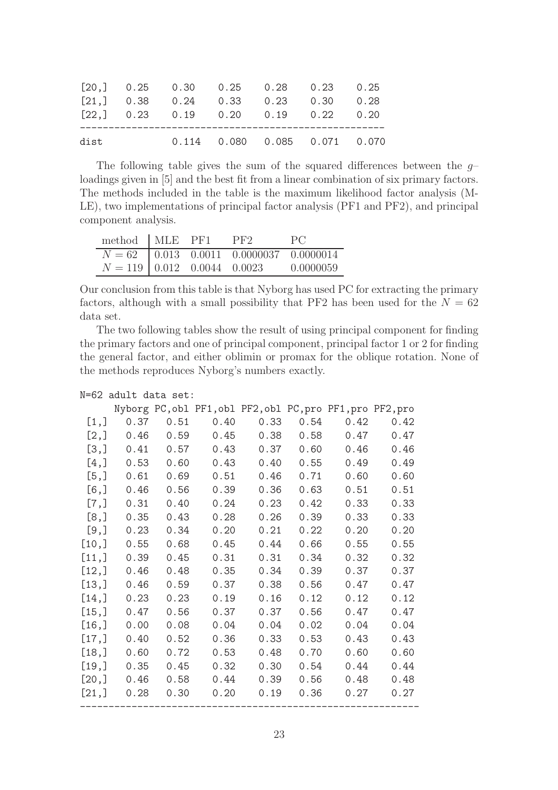| dist |                                       | 0.114  0.080  0.085  0.071  0.070 |  |  |
|------|---------------------------------------|-----------------------------------|--|--|
|      | $[22,]$ 0.23 0.19 0.20 0.19 0.22 0.20 |                                   |  |  |
|      | $[21,]$ 0.38 0.24 0.33 0.23 0.30 0.28 |                                   |  |  |
|      | $[20,]$ 0.25 0.30 0.25 0.28 0.23 0.25 |                                   |  |  |

The following table gives the sum of the squared differences between the  $g$ loadings given in [5] and the best fit from a linear combination of six primary factors. The methods included in the table is the maximum likelihood factor analysis (M-LE), two implementations of principal factor analysis (PF1 and PF2), and principal component analysis.

| method MLE PF1 PF2            |  |                                           | PC.       |
|-------------------------------|--|-------------------------------------------|-----------|
|                               |  | $N = 62$ 0.013 0.0011 0.0000037 0.0000014 |           |
| $N = 119$ 0.012 0.0044 0.0023 |  |                                           | 0.0000059 |

Our conclusion from this table is that Nyborg has used PC for extracting the primary factors, although with a small possibility that PF2 has been used for the  $N = 62$ data set.

The two following tables show the result of using principal component for finding the primary factors and one of principal component, principal factor 1 or 2 for finding the general factor, and either oblimin or promax for the oblique rotation. None of the methods reproduces Nyborg's numbers exactly.

|         |      |      |      | Nyborg PC, obl PF1, obl PF2, obl PC, pro PF1, pro PF2, pro |      |      |      |
|---------|------|------|------|------------------------------------------------------------|------|------|------|
| [1,]    | 0.37 | 0.51 | 0.40 | 0.33                                                       | 0.54 | 0.42 | 0.42 |
| [2,]    | 0.46 | 0.59 | 0.45 | 0.38                                                       | 0.58 | 0.47 | 0.47 |
| [3,]    | 0.41 | 0.57 | 0.43 | 0.37                                                       | 0.60 | 0.46 | 0.46 |
| $[4,$ ] | 0.53 | 0.60 | 0.43 | 0.40                                                       | 0.55 | 0.49 | 0.49 |
| [5,]    | 0.61 | 0.69 | 0.51 | 0.46                                                       | 0.71 | 0.60 | 0.60 |
| $[6,$ ] | 0.46 | 0.56 | 0.39 | 0.36                                                       | 0.63 | 0.51 | 0.51 |
| [7,]    | 0.31 | 0.40 | 0.24 | 0.23                                                       | 0.42 | 0.33 | 0.33 |
| [8,]    | 0.35 | 0.43 | 0.28 | 0.26                                                       | 0.39 | 0.33 | 0.33 |
| $[9,$ ] | 0.23 | 0.34 | 0.20 | 0.21                                                       | 0.22 | 0.20 | 0.20 |
| [10,]   | 0.55 | 0.68 | 0.45 | 0.44                                                       | 0.66 | 0.55 | 0.55 |
| [11,]   | 0.39 | 0.45 | 0.31 | 0.31                                                       | 0.34 | 0.32 | 0.32 |
| [12,]   | 0.46 | 0.48 | 0.35 | 0.34                                                       | 0.39 | 0.37 | 0.37 |
| [13,]   | 0.46 | 0.59 | 0.37 | 0.38                                                       | 0.56 | 0.47 | 0.47 |
| [14,]   | 0.23 | 0.23 | 0.19 | 0.16                                                       | 0.12 | 0.12 | 0.12 |
| [15,]   | 0.47 | 0.56 | 0.37 | 0.37                                                       | 0.56 | 0.47 | 0.47 |
| [16,]   | 0.00 | 0.08 | 0.04 | 0.04                                                       | 0.02 | 0.04 | 0.04 |
| [17,]   | 0.40 | 0.52 | 0.36 | 0.33                                                       | 0.53 | 0.43 | 0.43 |
| [18,]   | 0.60 | 0.72 | 0.53 | 0.48                                                       | 0.70 | 0.60 | 0.60 |
| [19,]   | 0.35 | 0.45 | 0.32 | 0.30                                                       | 0.54 | 0.44 | 0.44 |
| [20,]   | 0.46 | 0.58 | 0.44 | 0.39                                                       | 0.56 | 0.48 | 0.48 |
| [21,]   | 0.28 | 0.30 | 0.20 | 0.19                                                       | 0.36 | 0.27 | 0.27 |
|         |      |      |      |                                                            |      |      |      |

N=62 adult data set: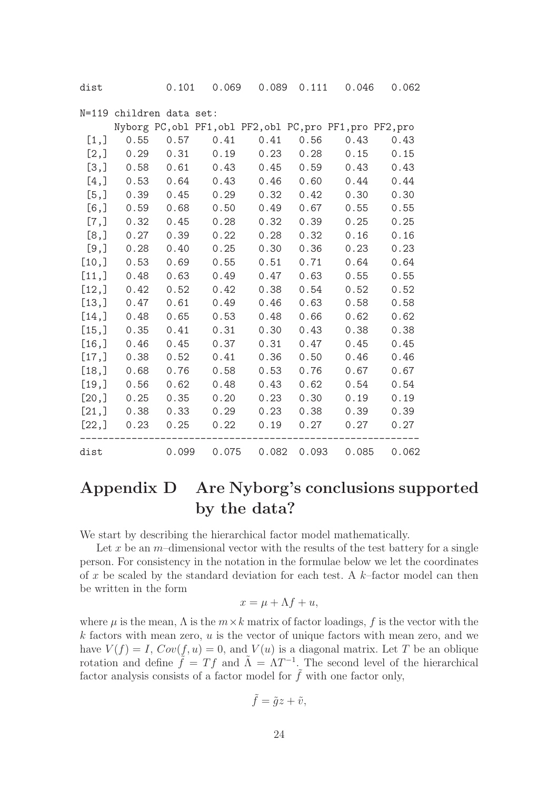| dist     |                          |             |             |      |      | $0.101$ 0.069 0.089 0.111 0.046                            | 0.062 |
|----------|--------------------------|-------------|-------------|------|------|------------------------------------------------------------|-------|
|          | N=119 children data set: |             |             |      |      |                                                            |       |
|          |                          |             |             |      |      | Nyborg PC, obl PF1, obl PF2, obl PC, pro PF1, pro PF2, pro |       |
| [1,]     | 0.55                     | $0.57$ 0.41 |             | 0.41 | 0.56 | 0.43                                                       | 0.43  |
|          | $[2,]$ 0.29 0.31 0.19    |             |             | 0.23 | 0.28 | 0.15                                                       | 0.15  |
| [3,]     | 0.58                     |             | $0.61$ 0.43 | 0.45 | 0.59 | 0.43                                                       | 0.43  |
|          | $[4,]$ 0.53              | $0.64$ 0.43 |             | 0.46 | 0.60 | 0.44                                                       | 0.44  |
| [5,]     | 0.39                     | 0.45        | 0.29        | 0.32 | 0.42 | 0.30                                                       | 0.30  |
| [6, 1]   | 0.59                     | 0.68        | 0.50        | 0.49 | 0.67 | 0.55                                                       | 0.55  |
| [7,]     | 0.32                     | 0.45        | 0.28        | 0.32 | 0.39 | 0.25                                                       | 0.25  |
| [8,]     | 0.27                     | 0.39        | 0.22        | 0.28 | 0.32 | 0.16                                                       | 0.16  |
| [9,]     | 0.28                     | 0.40        | 0.25        | 0.30 | 0.36 | 0.23                                                       | 0.23  |
| [10,     | 0.53                     | 0.69        | 0.55        | 0.51 | 0.71 | 0.64                                                       | 0.64  |
| [11,]    | 0.48                     | 0.63        | 0.49        | 0.47 | 0.63 | 0.55                                                       | 0.55  |
| [12,]    | 0.42                     | 0.52        | 0.42        | 0.38 | 0.54 | 0.52                                                       | 0.52  |
| $[13,$ ] | 0.47                     | 0.61        | 0.49        | 0.46 | 0.63 | 0.58                                                       | 0.58  |
| [14,]    | 0.48                     | 0.65        | 0.53        | 0.48 | 0.66 | 0.62                                                       | 0.62  |
| [15,]    | 0.35                     | 0.41        | 0.31        | 0.30 | 0.43 | 0.38                                                       | 0.38  |
| [16,     | 0.46                     | 0.45        | 0.37        | 0.31 | 0.47 | 0.45                                                       | 0.45  |
| [17,]    | 0.38                     | 0.52        | 0.41        | 0.36 | 0.50 | 0.46                                                       | 0.46  |
| [18,]    | 0.68                     | 0.76        | 0.58        | 0.53 | 0.76 | 0.67                                                       | 0.67  |
| [19,]    | 0.56                     | 0.62        | 0.48        | 0.43 | 0.62 | 0.54                                                       | 0.54  |
| [20,]    | 0.25                     | 0.35        | 0.20        | 0.23 | 0.30 | 0.19                                                       | 0.19  |
| [21,]    | 0.38                     | 0.33        | 0.29        | 0.23 | 0.38 | 0.39                                                       | 0.39  |
|          | $[22,]$ 0.23 0.25        |             | 0.22        | 0.19 | 0.27 | 0.27                                                       | 0.27  |
| dist     |                          | 0.099       |             |      |      | $0.075$ 0.082 0.093 0.085                                  | 0.062 |

# Appendix D Are Nyborg's conclusions supported by the data?

We start by describing the hierarchical factor model mathematically.

Let x be an m-dimensional vector with the results of the test battery for a single person. For consistency in the notation in the formulae below we let the coordinates of x be scaled by the standard deviation for each test. A  $k$ -factor model can then be written in the form

$$
x = \mu + \Lambda f + u,
$$

where  $\mu$  is the mean,  $\Lambda$  is the  $m \times k$  matrix of factor loadings, f is the vector with the  $k$  factors with mean zero,  $u$  is the vector of unique factors with mean zero, and we have  $V(f) = I$ ,  $Cov(f, u) = 0$ , and  $V(u)$  is a diagonal matrix. Let T be an oblique rotation and define  $\tilde{f} = Tf$  and  $\tilde{\Lambda} = \Lambda T^{-1}$ . The second level of the hierarchical factor analysis consists of a factor model for  $\hat{f}$  with one factor only,

$$
\tilde{f} = \tilde{g}z + \tilde{v},
$$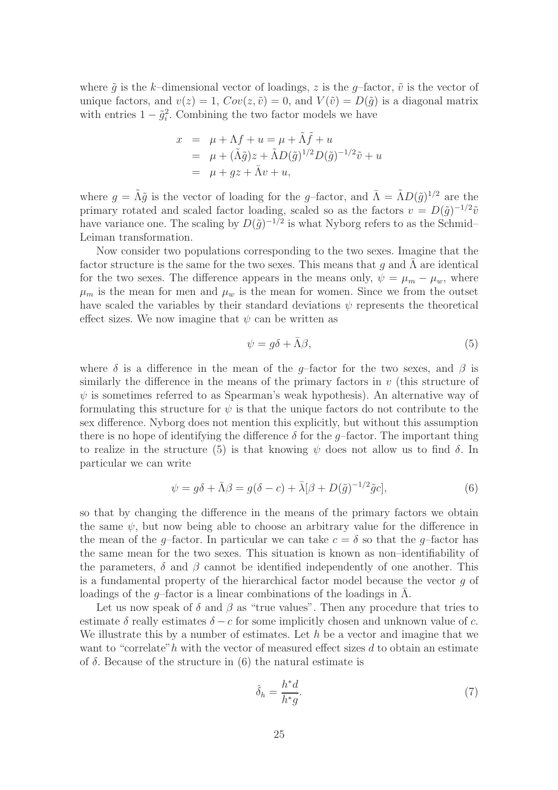where  $\tilde{q}$  is the k–dimensional vector of loadings, z is the q–factor,  $\tilde{v}$  is the vector of unique factors, and  $v(z) = 1$ ,  $Cov(z, \tilde{v}) = 0$ , and  $V(\tilde{v}) = D(\tilde{g})$  is a diagonal matrix with entries  $1 - \tilde{g}_i^2$ . Combining the two factor models we have

$$
x = \mu + \Lambda f + u = \mu + \tilde{\Lambda} \tilde{f} + u
$$
  
= 
$$
\mu + (\tilde{\Lambda} \tilde{g}) z + \tilde{\Lambda} D(\tilde{g})^{1/2} D(\tilde{g})^{-1/2} \tilde{v} + u
$$
  
= 
$$
\mu + gz + \bar{\Lambda} v + u,
$$

where  $g = \tilde{\Lambda} \tilde{g}$  is the vector of loading for the g-factor, and  $\bar{\Lambda} = \tilde{\Lambda} D(\tilde{g})^{1/2}$  are the primary rotated and scaled factor loading, scaled so as the factors  $v = D(\tilde{g})^{-1/2}\tilde{v}$ have variance one. The scaling by  $D(\tilde{g})^{-1/2}$  is what Nyborg refers to as the Schmid– Leiman transformation.

Now consider two populations corresponding to the two sexes. Imagine that the factor structure is the same for the two sexes. This means that q and  $\Lambda$  are identical for the two sexes. The difference appears in the means only,  $\psi = \mu_m - \mu_w$ , where  $\mu_m$  is the mean for men and  $\mu_w$  is the mean for women. Since we from the outset have scaled the variables by their standard deviations  $\psi$  represents the theoretical effect sizes. We now imagine that  $\psi$  can be written as

$$
\psi = g\delta + \bar{\Lambda}\beta,\tag{5}
$$

where  $\delta$  is a difference in the mean of the g–factor for the two sexes, and  $\beta$  is similarly the difference in the means of the primary factors in  $v$  (this structure of  $\psi$  is sometimes referred to as Spearman's weak hypothesis). An alternative way of formulating this structure for  $\psi$  is that the unique factors do not contribute to the sex difference. Nyborg does not mention this explicitly, but without this assumption there is no hope of identifying the difference  $\delta$  for the q-factor. The important thing to realize in the structure (5) is that knowing  $\psi$  does not allow us to find  $\delta$ . In particular we can write

$$
\psi = g\delta + \bar{\Lambda}\beta = g(\delta - c) + \bar{\lambda}[\beta + D(\tilde{g})^{-1/2}\tilde{g}c],\tag{6}
$$

so that by changing the difference in the means of the primary factors we obtain the same  $\psi$ , but now being able to choose an arbitrary value for the difference in the mean of the g–factor. In particular we can take  $c = \delta$  so that the g–factor has the same mean for the two sexes. This situation is known as non–identifiability of the parameters,  $\delta$  and  $\beta$  cannot be identified independently of one another. This is a fundamental property of the hierarchical factor model because the vector  $q$  of loadings of the g–factor is a linear combinations of the loadings in  $\Lambda$ .

Let us now speak of  $\delta$  and  $\beta$  as "true values". Then any procedure that tries to estimate  $\delta$  really estimates  $\delta - c$  for some implicitly chosen and unknown value of c. We illustrate this by a number of estimates. Let  $h$  be a vector and imagine that we want to "correlate"h with the vector of measured effect sizes  $d$  to obtain an estimate of  $\delta$ . Because of the structure in (6) the natural estimate is

$$
\hat{\delta}_h = \frac{h^* d}{h^* g}.\tag{7}
$$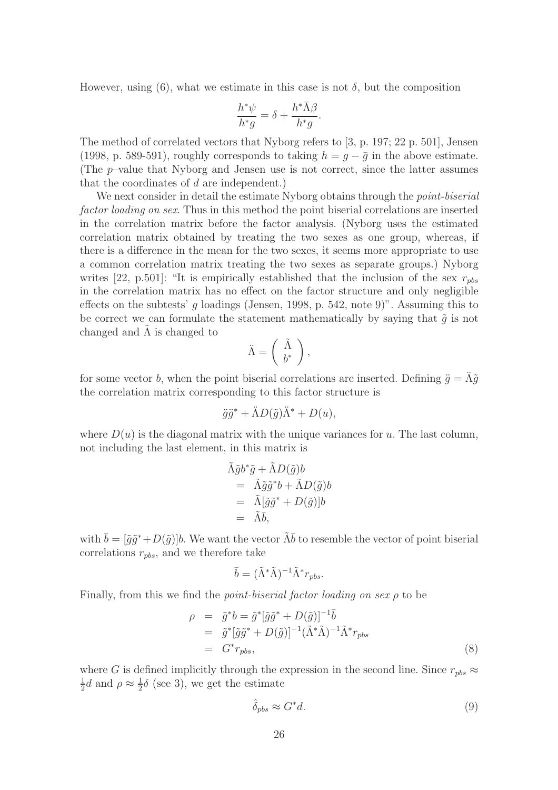However, using (6), what we estimate in this case is not  $\delta$ , but the composition

$$
\frac{h^*\psi}{h^*g} = \delta + \frac{h^*\bar{\Lambda}\beta}{h^*g}.
$$

The method of correlated vectors that Nyborg refers to [3, p. 197; 22 p. 501], Jensen (1998, p. 589-591), roughly corresponds to taking  $h = q - \bar{q}$  in the above estimate. (The p–value that Nyborg and Jensen use is not correct, since the latter assumes that the coordinates of d are independent.)

We next consider in detail the estimate Nyborg obtains through the *point-biserial* factor loading on sex. Thus in this method the point biserial correlations are inserted in the correlation matrix before the factor analysis. (Nyborg uses the estimated correlation matrix obtained by treating the two sexes as one group, whereas, if there is a difference in the mean for the two sexes, it seems more appropriate to use a common correlation matrix treating the two sexes as separate groups.) Nyborg writes [22, p.501]: "It is empirically established that the inclusion of the sex  $r_{obs}$ in the correlation matrix has no effect on the factor structure and only negligible effects on the subtests' g loadings (Jensen, 1998, p. 542, note 9)". Assuming this to be correct we can formulate the statement mathematically by saying that  $\tilde{g}$  is not changed and  $\Lambda$  is changed to

$$
\ddot{\Lambda} = \left(\begin{array}{c} \tilde{\Lambda} \\ b^* \end{array}\right),
$$

for some vector b, when the point biserial correlations are inserted. Defining  $\ddot{g} = \Lambda \tilde{g}$ the correlation matrix corresponding to this factor structure is

$$
\ddot{g}\ddot{g}^* + \ddot{\Lambda}D(\tilde{g})\ddot{\Lambda}^* + D(u),
$$

where  $D(u)$  is the diagonal matrix with the unique variances for u. The last column, not including the last element, in this matrix is

$$
\begin{aligned}\n\tilde{\Lambda}\tilde{g}b^*\tilde{g} + \tilde{\Lambda}D(\tilde{g})b \\
&= \tilde{\Lambda}\tilde{g}\tilde{g}^*b + \tilde{\Lambda}D(\tilde{g})b \\
&= \tilde{\Lambda}[\tilde{g}\tilde{g}^* + D(\tilde{g})]b \\
&= \tilde{\Lambda}\bar{b},\n\end{aligned}
$$

with  $\bar{b} = [\tilde{g}\tilde{g}^* + D(\tilde{g})]b$ . We want the vector  $\tilde{\Lambda}\bar{b}$  to resemble the vector of point biserial correlations  $r_{obs}$ , and we therefore take

$$
\bar{b} = (\tilde{\Lambda}^* \tilde{\Lambda})^{-1} \tilde{\Lambda}^* r_{pbs}.
$$

Finally, from this we find the *point-biserial factor loading on sex*  $\rho$  to be

$$
\rho = \tilde{g}^* b = \tilde{g}^* [\tilde{g}\tilde{g}^* + D(\tilde{g})]^{-1} \bar{b}
$$
  
\n
$$
= \tilde{g}^* [\tilde{g}\tilde{g}^* + D(\tilde{g})]^{-1} (\tilde{\Lambda}^* \tilde{\Lambda})^{-1} \tilde{\Lambda}^* r_{pbs}
$$
  
\n
$$
= G^* r_{pbs}, \qquad (8)
$$

where G is defined implicitly through the expression in the second line. Since  $r_{pbs} \approx$ 1  $\frac{1}{2}d$  and  $\rho \approx \frac{1}{2}$  $\frac{1}{2}\delta$  (see 3), we get the estimate

$$
\hat{\delta}_{pbs} \approx G^* d. \tag{9}
$$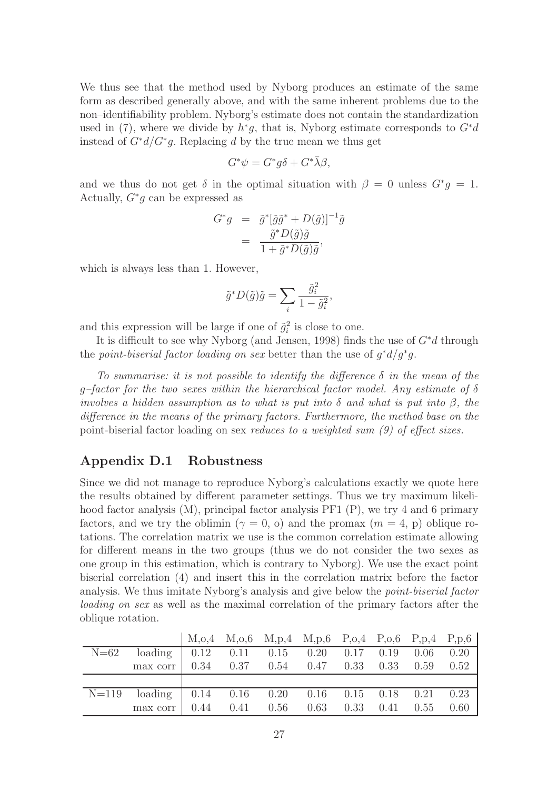We thus see that the method used by Nyborg produces an estimate of the same form as described generally above, and with the same inherent problems due to the non–identifiability problem. Nyborg's estimate does not contain the standardization used in (7), where we divide by  $h^*g$ , that is, Nyborg estimate corresponds to  $G^*d$ instead of  $G^*d/G^*g$ . Replacing d by the true mean we thus get

$$
G^*\psi = G^*g\delta + G^*\bar{\lambda}\beta,
$$

and we thus do not get  $\delta$  in the optimal situation with  $\beta = 0$  unless  $G^*g = 1$ . Actually,  $G^*g$  can be expressed as

$$
G^*g = \tilde{g}^*[\tilde{g}\tilde{g}^* + D(\tilde{g})]^{-1}\tilde{g}
$$
  
= 
$$
\frac{\tilde{g}^*D(\tilde{g})\tilde{g}}{1 + \tilde{g}^*D(\tilde{g})\tilde{g}},
$$

which is always less than 1. However,

$$
\tilde{g}^* D(\tilde{g}) \tilde{g} = \sum_i \frac{\tilde{g}_i^2}{1 - \tilde{g}_i^2},
$$

and this expression will be large if one of  $\tilde{g}_i^2$  is close to one.

It is difficult to see why Nyborg (and Jensen, 1998) finds the use of G<sup>∗</sup>d through the point-biserial factor loading on sex better than the use of  $g^*d/g^*g$ .

To summarise: it is not possible to identify the difference  $\delta$  in the mean of the g–factor for the two sexes within the hierarchical factor model. Any estimate of  $\delta$ involves a hidden assumption as to what is put into  $\delta$  and what is put into  $\beta$ , the difference in the means of the primary factors. Furthermore, the method base on the point-biserial factor loading on sex reduces to a weighted sum (9) of effect sizes.

#### Appendix D.1 Robustness

Since we did not manage to reproduce Nyborg's calculations exactly we quote here the results obtained by different parameter settings. Thus we try maximum likelihood factor analysis  $(M)$ , principal factor analysis PF1  $(P)$ , we try 4 and 6 primary factors, and we try the oblimin ( $\gamma = 0$ , o) and the promax ( $m = 4$ , p) oblique rotations. The correlation matrix we use is the common correlation estimate allowing for different means in the two groups (thus we do not consider the two sexes as one group in this estimation, which is contrary to Nyborg). We use the exact point biserial correlation (4) and insert this in the correlation matrix before the factor analysis. We thus imitate Nyborg's analysis and give below the point-biserial factor loading on sex as well as the maximal correlation of the primary factors after the oblique rotation.

|                                                                                                   |  | $ M_{,0,4}$ M, $o,6$ M, $p,4$ M, $p,6$ P, $o,4$ P, $o,6$ P, $p,4$ P, $p,6$ |  |      |
|---------------------------------------------------------------------------------------------------|--|----------------------------------------------------------------------------|--|------|
| $N=62$ loading 0.12 0.11 0.15 0.20 0.17 0.19 0.06 0.20                                            |  |                                                                            |  |      |
| max corr $\begin{array}{ rrrr} 0.34 & 0.37 & 0.54 & 0.47 & 0.33 & 0.33 & 0.59 & 0.52 \end{array}$ |  |                                                                            |  |      |
|                                                                                                   |  |                                                                            |  |      |
| N=119 loading   0.14 0.16 0.20 0.16 0.15 0.18 0.21 0.23                                           |  |                                                                            |  |      |
| max corr   $0.44$ $0.41$ $0.56$ $0.63$ $0.33$ $0.41$ $0.55$                                       |  |                                                                            |  | 0.60 |